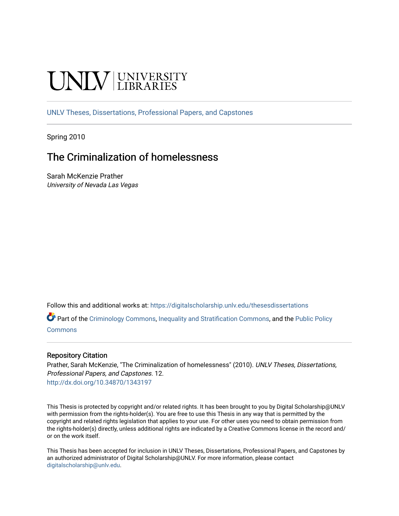# UNIV UNIVERSITY

[UNLV Theses, Dissertations, Professional Papers, and Capstones](https://digitalscholarship.unlv.edu/thesesdissertations)

Spring 2010

# The Criminalization of homelessness

Sarah McKenzie Prather University of Nevada Las Vegas

Follow this and additional works at: [https://digitalscholarship.unlv.edu/thesesdissertations](https://digitalscholarship.unlv.edu/thesesdissertations?utm_source=digitalscholarship.unlv.edu%2Fthesesdissertations%2F12&utm_medium=PDF&utm_campaign=PDFCoverPages)

Part of the [Criminology Commons](http://network.bepress.com/hgg/discipline/417?utm_source=digitalscholarship.unlv.edu%2Fthesesdissertations%2F12&utm_medium=PDF&utm_campaign=PDFCoverPages), [Inequality and Stratification Commons](http://network.bepress.com/hgg/discipline/421?utm_source=digitalscholarship.unlv.edu%2Fthesesdissertations%2F12&utm_medium=PDF&utm_campaign=PDFCoverPages), and the [Public Policy](http://network.bepress.com/hgg/discipline/400?utm_source=digitalscholarship.unlv.edu%2Fthesesdissertations%2F12&utm_medium=PDF&utm_campaign=PDFCoverPages) [Commons](http://network.bepress.com/hgg/discipline/400?utm_source=digitalscholarship.unlv.edu%2Fthesesdissertations%2F12&utm_medium=PDF&utm_campaign=PDFCoverPages)

#### Repository Citation

Prather, Sarah McKenzie, "The Criminalization of homelessness" (2010). UNLV Theses, Dissertations, Professional Papers, and Capstones. 12. <http://dx.doi.org/10.34870/1343197>

This Thesis is protected by copyright and/or related rights. It has been brought to you by Digital Scholarship@UNLV with permission from the rights-holder(s). You are free to use this Thesis in any way that is permitted by the copyright and related rights legislation that applies to your use. For other uses you need to obtain permission from the rights-holder(s) directly, unless additional rights are indicated by a Creative Commons license in the record and/ or on the work itself.

This Thesis has been accepted for inclusion in UNLV Theses, Dissertations, Professional Papers, and Capstones by an authorized administrator of Digital Scholarship@UNLV. For more information, please contact [digitalscholarship@unlv.edu](mailto:digitalscholarship@unlv.edu).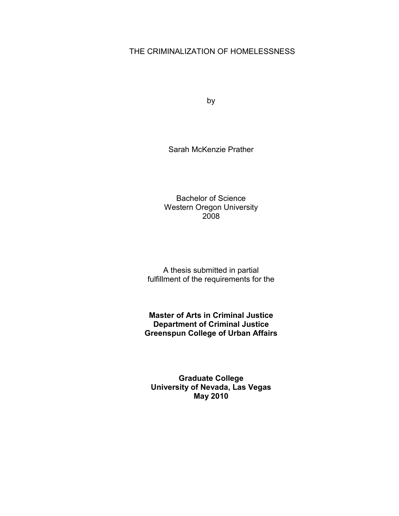# THE CRIMINALIZATION OF HOMELESSNESS

by

Sarah McKenzie Prather

Bachelor of Science Western Oregon University 2008

A thesis submitted in partial fulfillment of the requirements for the

**Master of Arts in Criminal Justice Department of Criminal Justice Greenspun College of Urban Affairs**

**Graduate College University of Nevada, Las Vegas May 2010**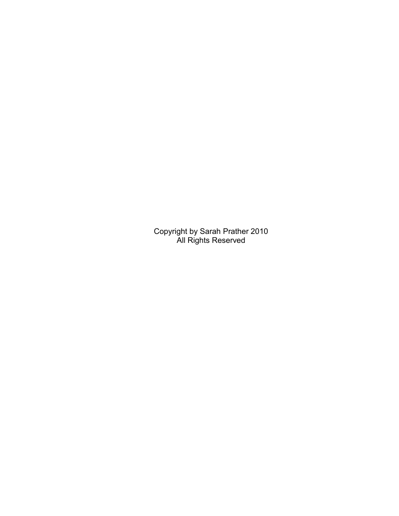Copyright by Sarah Prather 2010 All Rights Reserved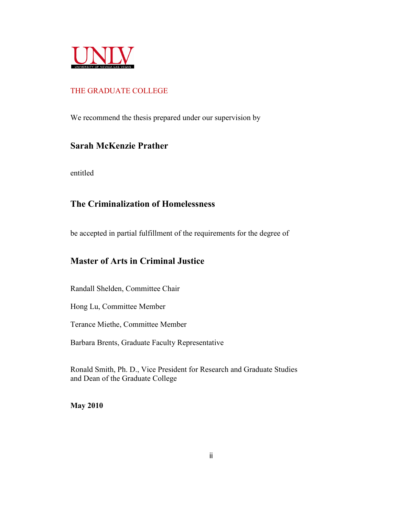

# THE GRADUATE COLLEGE

We recommend the thesis prepared under our supervision by

# **Sarah McKenzie Prather**

entitled

# **The Criminalization of Homelessness**

be accepted in partial fulfillment of the requirements for the degree of

# **Master of Arts in Criminal Justice**

Randall Shelden, Committee Chair

Hong Lu, Committee Member

Terance Miethe, Committee Member

Barbara Brents, Graduate Faculty Representative

Ronald Smith, Ph. D., Vice President for Research and Graduate Studies and Dean of the Graduate College

**May 2010**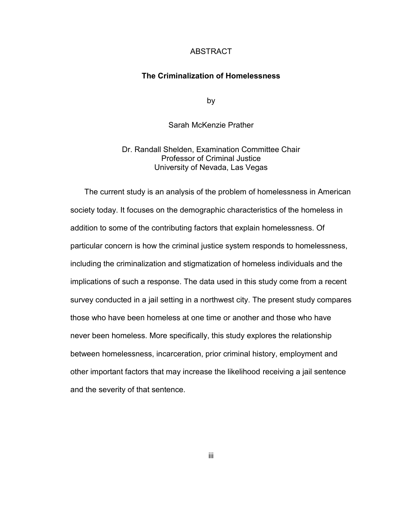#### ABSTRACT

# **The Criminalization of Homelessness**

by

Sarah McKenzie Prather

Dr. Randall Shelden, Examination Committee Chair Professor of Criminal Justice University of Nevada, Las Vegas

The current study is an analysis of the problem of homelessness in American society today. It focuses on the demographic characteristics of the homeless in addition to some of the contributing factors that explain homelessness. Of particular concern is how the criminal justice system responds to homelessness, including the criminalization and stigmatization of homeless individuals and the implications of such a response. The data used in this study come from a recent survey conducted in a jail setting in a northwest city. The present study compares those who have been homeless at one time or another and those who have never been homeless. More specifically, this study explores the relationship between homelessness, incarceration, prior criminal history, employment and other important factors that may increase the likelihood receiving a jail sentence and the severity of that sentence.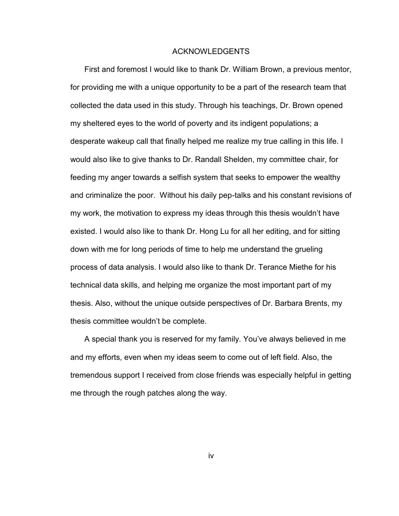#### ACKNOWLEDGENTS

First and foremost I would like to thank Dr. William Brown, a previous mentor, for providing me with a unique opportunity to be a part of the research team that collected the data used in this study. Through his teachings, Dr. Brown opened my sheltered eyes to the world of poverty and its indigent populations; a desperate wakeup call that finally helped me realize my true calling in this life. I would also like to give thanks to Dr. Randall Shelden, my committee chair, for feeding my anger towards a selfish system that seeks to empower the wealthy and criminalize the poor. Without his daily pep-talks and his constant revisions of my work, the motivation to express my ideas through this thesis wouldn"t have existed. I would also like to thank Dr. Hong Lu for all her editing, and for sitting down with me for long periods of time to help me understand the grueling process of data analysis. I would also like to thank Dr. Terance Miethe for his technical data skills, and helping me organize the most important part of my thesis. Also, without the unique outside perspectives of Dr. Barbara Brents, my thesis committee wouldn"t be complete.

A special thank you is reserved for my family. You"ve always believed in me and my efforts, even when my ideas seem to come out of left field. Also, the tremendous support I received from close friends was especially helpful in getting me through the rough patches along the way.

iv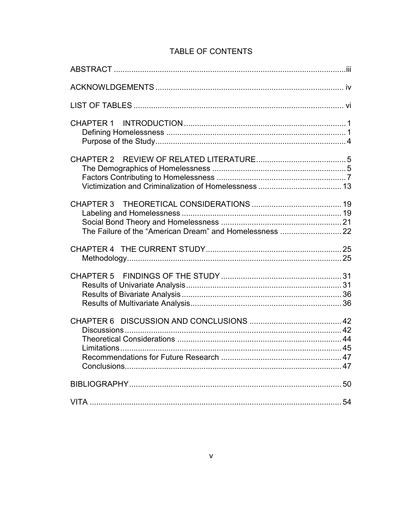| The Failure of the "American Dream" and Homelessness  22 |  |
|----------------------------------------------------------|--|
|                                                          |  |
|                                                          |  |
|                                                          |  |
|                                                          |  |
|                                                          |  |

# TABLE OF CONTENTS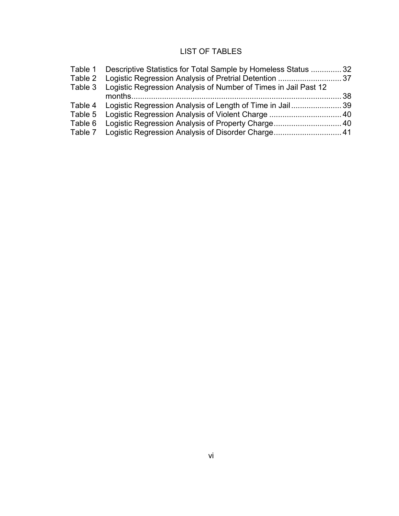# LIST OF TABLES

|         | Table 1 Descriptive Statistics for Total Sample by Homeless Status 32   |  |
|---------|-------------------------------------------------------------------------|--|
|         |                                                                         |  |
|         | Table 3 Logistic Regression Analysis of Number of Times in Jail Past 12 |  |
|         |                                                                         |  |
|         | Table 4 Logistic Regression Analysis of Length of Time in Jail39        |  |
| Table 5 |                                                                         |  |
|         |                                                                         |  |
|         | Table 7 Logistic Regression Analysis of Disorder Charge 41              |  |
|         |                                                                         |  |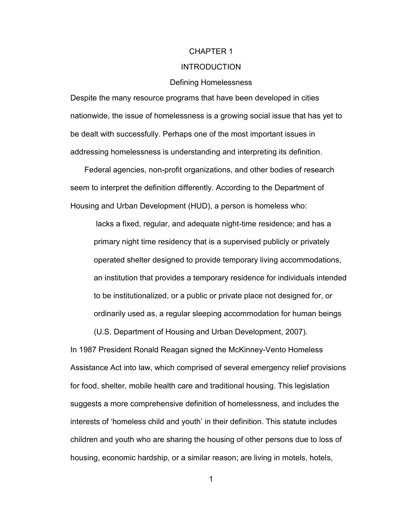#### CHAPTER 1

#### INTRODUCTION

#### Defining Homelessness

Despite the many resource programs that have been developed in cities nationwide, the issue of homelessness is a growing social issue that has yet to be dealt with successfully. Perhaps one of the most important issues in addressing homelessness is understanding and interpreting its definition.

Federal agencies, non-profit organizations, and other bodies of research seem to interpret the definition differently. According to the Department of Housing and Urban Development (HUD), a person is homeless who:

lacks a fixed, regular, and adequate night-time residence; and has a primary night time residency that is a supervised publicly or privately operated shelter designed to provide temporary living accommodations, an institution that provides a temporary residence for individuals intended to be institutionalized, or a public or private place not designed for, or ordinarily used as, a regular sleeping accommodation for human beings

(U.S. Department of Housing and Urban Development, 2007). In 1987 President Ronald Reagan signed the McKinney-Vento Homeless Assistance Act into law, which comprised of several emergency relief provisions for food, shelter, mobile health care and traditional housing. This legislation suggests a more comprehensive definition of homelessness, and includes the interests of "homeless child and youth" in their definition. This statute includes children and youth who are sharing the housing of other persons due to loss of housing, economic hardship, or a similar reason; are living in motels, hotels,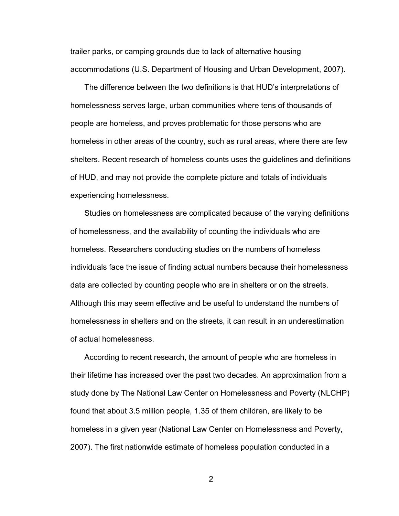trailer parks, or camping grounds due to lack of alternative housing accommodations (U.S. Department of Housing and Urban Development, 2007).

The difference between the two definitions is that HUD"s interpretations of homelessness serves large, urban communities where tens of thousands of people are homeless, and proves problematic for those persons who are homeless in other areas of the country, such as rural areas, where there are few shelters. Recent research of homeless counts uses the guidelines and definitions of HUD, and may not provide the complete picture and totals of individuals experiencing homelessness.

Studies on homelessness are complicated because of the varying definitions of homelessness, and the availability of counting the individuals who are homeless. Researchers conducting studies on the numbers of homeless individuals face the issue of finding actual numbers because their homelessness data are collected by counting people who are in shelters or on the streets. Although this may seem effective and be useful to understand the numbers of homelessness in shelters and on the streets, it can result in an underestimation of actual homelessness.

According to recent research, the amount of people who are homeless in their lifetime has increased over the past two decades. An approximation from a study done by The National Law Center on Homelessness and Poverty (NLCHP) found that about 3.5 million people, 1.35 of them children, are likely to be homeless in a given year (National Law Center on Homelessness and Poverty, 2007). The first nationwide estimate of homeless population conducted in a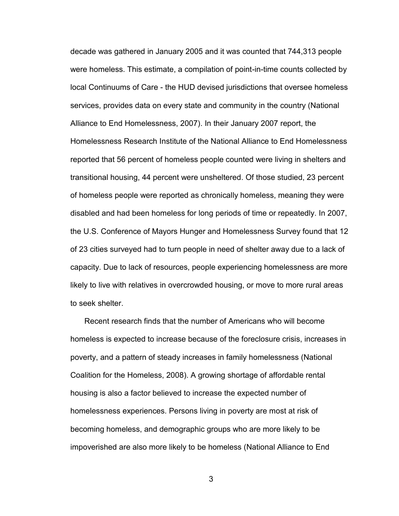decade was gathered in January 2005 and it was counted that 744,313 people were homeless. This estimate, a compilation of point-in-time counts collected by local Continuums of Care - the HUD devised jurisdictions that oversee homeless services, provides data on every state and community in the country (National Alliance to End Homelessness, 2007). In their January 2007 report, the Homelessness Research Institute of the National Alliance to End Homelessness reported that 56 percent of homeless people counted were living in shelters and transitional housing, 44 percent were unsheltered. Of those studied, 23 percent of homeless people were reported as chronically homeless, meaning they were disabled and had been homeless for long periods of time or repeatedly. In 2007, the U.S. Conference of Mayors Hunger and Homelessness Survey found that 12 of 23 cities surveyed had to turn people in need of shelter away due to a lack of capacity. Due to lack of resources, people experiencing homelessness are more likely to live with relatives in overcrowded housing, or move to more rural areas to seek shelter.

Recent research finds that the number of Americans who will become homeless is expected to increase because of the foreclosure crisis, increases in poverty, and a pattern of steady increases in family homelessness (National Coalition for the Homeless, 2008). A growing shortage of affordable rental housing is also a factor believed to increase the expected number of homelessness experiences. Persons living in poverty are most at risk of becoming homeless, and demographic groups who are more likely to be impoverished are also more likely to be homeless (National Alliance to End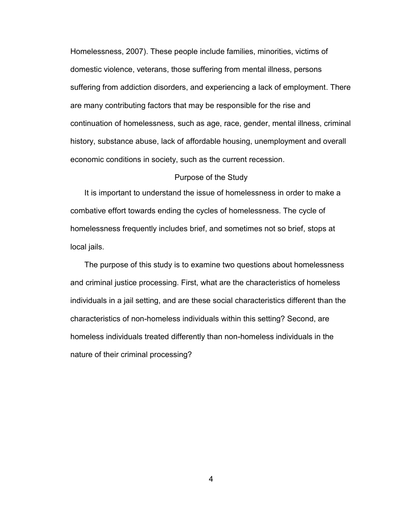Homelessness, 2007). These people include families, minorities, victims of domestic violence, veterans, those suffering from mental illness, persons suffering from addiction disorders, and experiencing a lack of employment. There are many contributing factors that may be responsible for the rise and continuation of homelessness, such as age, race, gender, mental illness, criminal history, substance abuse, lack of affordable housing, unemployment and overall economic conditions in society, such as the current recession.

#### Purpose of the Study

It is important to understand the issue of homelessness in order to make a combative effort towards ending the cycles of homelessness. The cycle of homelessness frequently includes brief, and sometimes not so brief, stops at local jails.

The purpose of this study is to examine two questions about homelessness and criminal justice processing. First, what are the characteristics of homeless individuals in a jail setting, and are these social characteristics different than the characteristics of non-homeless individuals within this setting? Second, are homeless individuals treated differently than non-homeless individuals in the nature of their criminal processing?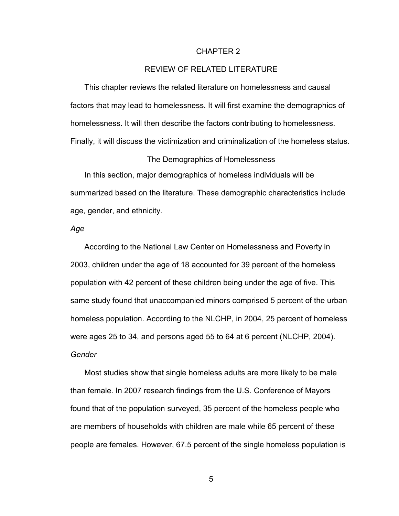#### CHAPTER 2

# REVIEW OF RELATED LITERATURE

This chapter reviews the related literature on homelessness and causal factors that may lead to homelessness. It will first examine the demographics of homelessness. It will then describe the factors contributing to homelessness. Finally, it will discuss the victimization and criminalization of the homeless status.

#### The Demographics of Homelessness

In this section, major demographics of homeless individuals will be summarized based on the literature. These demographic characteristics include age, gender, and ethnicity.

## *Age*

According to the National Law Center on Homelessness and Poverty in 2003, children under the age of 18 accounted for 39 percent of the homeless population with 42 percent of these children being under the age of five. This same study found that unaccompanied minors comprised 5 percent of the urban homeless population. According to the NLCHP, in 2004, 25 percent of homeless were ages 25 to 34, and persons aged 55 to 64 at 6 percent (NLCHP, 2004). *Gender* 

Most studies show that single homeless adults are more likely to be male than female. In 2007 research findings from the U.S. Conference of Mayors found that of the population surveyed, 35 percent of the homeless people who are members of households with children are male while 65 percent of these people are females. However, 67.5 percent of the single homeless population is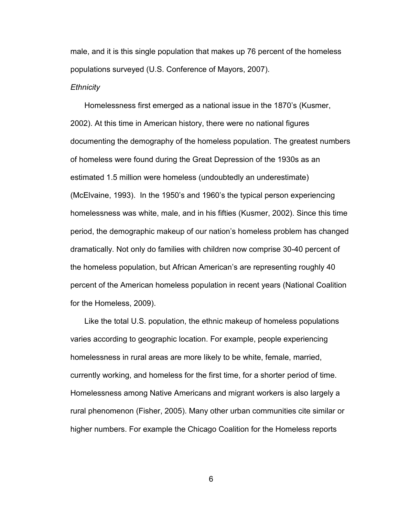male, and it is this single population that makes up 76 percent of the homeless populations surveyed (U.S. Conference of Mayors, 2007). *Ethnicity*

Homelessness first emerged as a national issue in the 1870"s (Kusmer, 2002). At this time in American history, there were no national figures documenting the demography of the homeless population. The greatest numbers of homeless were found during the Great Depression of the 1930s as an estimated 1.5 million were homeless (undoubtedly an underestimate) (McElvaine, 1993). In the 1950"s and 1960"s the typical person experiencing homelessness was white, male, and in his fifties (Kusmer, 2002). Since this time period, the demographic makeup of our nation"s homeless problem has changed dramatically. Not only do families with children now comprise 30-40 percent of the homeless population, but African American"s are representing roughly 40 percent of the American homeless population in recent years (National Coalition for the Homeless, 2009).

Like the total U.S. population, the ethnic makeup of homeless populations varies according to geographic location. For example, people experiencing homelessness in rural areas are more likely to be white, female, married, currently working, and homeless for the first time, for a shorter period of time. Homelessness among Native Americans and migrant workers is also largely a rural phenomenon (Fisher, 2005). Many other urban communities cite similar or higher numbers. For example the Chicago Coalition for the Homeless reports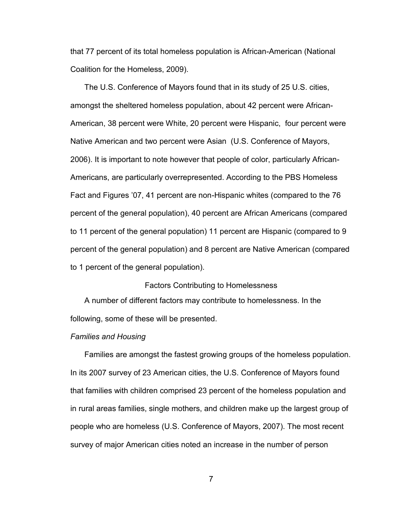that 77 percent of its total homeless population is African-American (National Coalition for the Homeless, 2009).

The U.S. Conference of Mayors found that in its study of 25 U.S. cities, amongst the sheltered homeless population, about 42 percent were African-American, 38 percent were White, 20 percent were Hispanic, four percent were Native American and two percent were Asian (U.S. Conference of Mayors, 2006). It is important to note however that people of color, particularly African-Americans, are particularly overrepresented. According to the PBS Homeless Fact and Figures "07, 41 percent are non-Hispanic whites (compared to the 76 percent of the general population), 40 percent are African Americans (compared to 11 percent of the general population) 11 percent are Hispanic (compared to 9 percent of the general population) and 8 percent are Native American (compared to 1 percent of the general population).

#### Factors Contributing to Homelessness

A number of different factors may contribute to homelessness. In the following, some of these will be presented.

#### *Families and Housing*

Families are amongst the fastest growing groups of the homeless population. In its 2007 survey of 23 American cities, the U.S. Conference of Mayors found that families with children comprised 23 percent of the homeless population and in rural areas families, single mothers, and children make up the largest group of people who are homeless (U.S. Conference of Mayors, 2007). The most recent survey of major American cities noted an increase in the number of person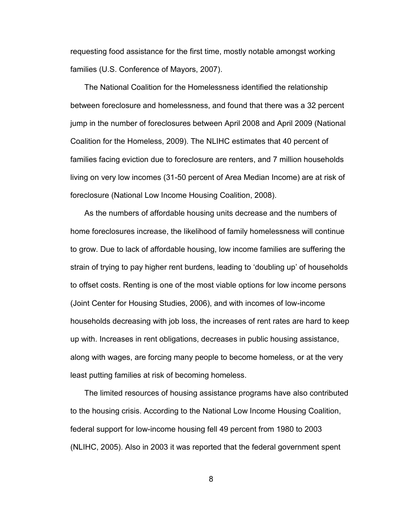requesting food assistance for the first time, mostly notable amongst working families (U.S. Conference of Mayors, 2007).

The National Coalition for the Homelessness identified the relationship between foreclosure and homelessness, and found that there was a 32 percent jump in the number of foreclosures between April 2008 and April 2009 (National Coalition for the Homeless, 2009). The NLIHC estimates that 40 percent of families facing eviction due to foreclosure are renters, and 7 million households living on very low incomes (31-50 percent of Area Median Income) are at risk of foreclosure (National Low Income Housing Coalition, 2008).

As the numbers of affordable housing units decrease and the numbers of home foreclosures increase, the likelihood of family homelessness will continue to grow. Due to lack of affordable housing, low income families are suffering the strain of trying to pay higher rent burdens, leading to "doubling up" of households to offset costs. Renting is one of the most viable options for low income persons (Joint Center for Housing Studies, 2006), and with incomes of low-income households decreasing with job loss, the increases of rent rates are hard to keep up with. Increases in rent obligations, decreases in public housing assistance, along with wages, are forcing many people to become homeless, or at the very least putting families at risk of becoming homeless.

The limited resources of housing assistance programs have also contributed to the housing crisis. According to the National Low Income Housing Coalition, federal support for low-income housing fell 49 percent from 1980 to 2003 (NLIHC, 2005). Also in 2003 it was reported that the federal government spent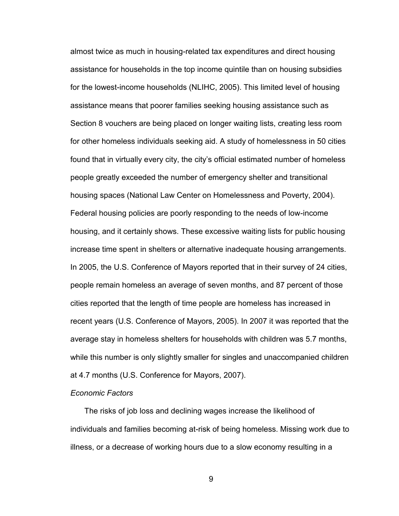almost twice as much in housing-related tax expenditures and direct housing assistance for households in the top income quintile than on housing subsidies for the lowest-income households (NLIHC, 2005). This limited level of housing assistance means that poorer families seeking housing assistance such as Section 8 vouchers are being placed on longer waiting lists, creating less room for other homeless individuals seeking aid. A study of homelessness in 50 cities found that in virtually every city, the city"s official estimated number of homeless people greatly exceeded the number of emergency shelter and transitional housing spaces (National Law Center on Homelessness and Poverty, 2004). Federal housing policies are poorly responding to the needs of low-income housing, and it certainly shows. These excessive waiting lists for public housing increase time spent in shelters or alternative inadequate housing arrangements. In 2005, the U.S. Conference of Mayors reported that in their survey of 24 cities, people remain homeless an average of seven months, and 87 percent of those cities reported that the length of time people are homeless has increased in recent years (U.S. Conference of Mayors, 2005). In 2007 it was reported that the average stay in homeless shelters for households with children was 5.7 months, while this number is only slightly smaller for singles and unaccompanied children at 4.7 months (U.S. Conference for Mayors, 2007).

#### *Economic Factors*

The risks of job loss and declining wages increase the likelihood of individuals and families becoming at-risk of being homeless. Missing work due to illness, or a decrease of working hours due to a slow economy resulting in a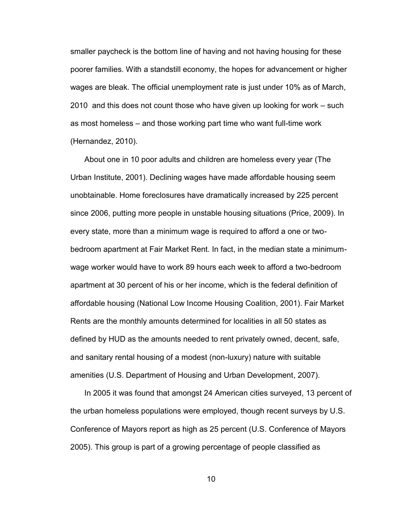smaller paycheck is the bottom line of having and not having housing for these poorer families. With a standstill economy, the hopes for advancement or higher wages are bleak. The official unemployment rate is just under 10% as of March, 2010 and this does not count those who have given up looking for work – such as most homeless – and those working part time who want full-time work (Hernandez, 2010).

About one in 10 poor adults and children are homeless every year (The Urban Institute, 2001). Declining wages have made affordable housing seem unobtainable. Home foreclosures have dramatically increased by 225 percent since 2006, putting more people in unstable housing situations (Price, 2009). In every state, more than a minimum wage is required to afford a one or twobedroom apartment at Fair Market Rent. In fact, in the median state a minimumwage worker would have to work 89 hours each week to afford a two-bedroom apartment at 30 percent of his or her income, which is the federal definition of affordable housing (National Low Income Housing Coalition, 2001). Fair Market Rents are the monthly amounts determined for localities in all 50 states as defined by HUD as the amounts needed to rent privately owned, decent, safe, and sanitary rental housing of a modest (non-luxury) nature with suitable amenities (U.S. Department of Housing and Urban Development, 2007).

In 2005 it was found that amongst 24 American cities surveyed, 13 percent of the urban homeless populations were employed, though recent surveys by U.S. Conference of Mayors report as high as 25 percent (U.S. Conference of Mayors 2005). This group is part of a growing percentage of people classified as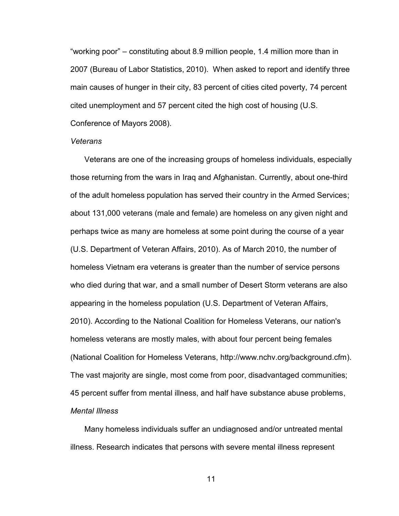"working poor" – constituting about 8.9 million people, 1.4 million more than in 2007 (Bureau of Labor Statistics, 2010). When asked to report and identify three main causes of hunger in their city, 83 percent of cities cited poverty, 74 percent cited unemployment and 57 percent cited the high cost of housing (U.S. Conference of Mayors 2008).

#### *Veterans*

Veterans are one of the increasing groups of homeless individuals, especially those returning from the wars in Iraq and Afghanistan. Currently, about one-third of the adult homeless population has served their country in the Armed Services; about 131,000 veterans (male and female) are homeless on any given night and perhaps twice as many are homeless at some point during the course of a year (U.S. Department of Veteran Affairs, 2010). As of March 2010, the number of homeless Vietnam era veterans is greater than the number of service persons who died during that war, and a small number of Desert Storm veterans are also appearing in the homeless population (U.S. Department of Veteran Affairs, 2010). According to the National Coalition for Homeless Veterans, our nation's homeless veterans are mostly males, with about four percent being females (National Coalition for Homeless Veterans, http://www.nchv.org/background.cfm). The vast majority are single, most come from poor, disadvantaged communities; 45 percent suffer from mental illness, and half have substance abuse problems, *Mental Illness*

Many homeless individuals suffer an undiagnosed and/or untreated mental illness. Research indicates that persons with severe mental illness represent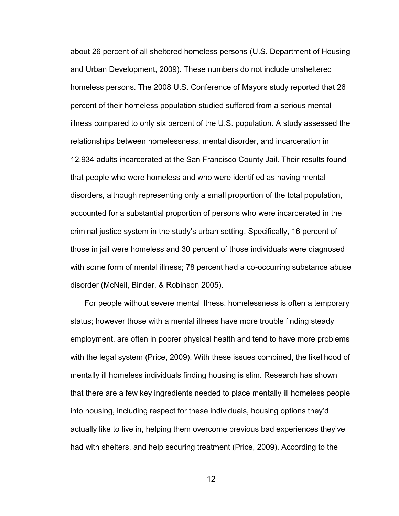about 26 percent of all sheltered homeless persons (U.S. Department of Housing and Urban Development, 2009). These numbers do not include unsheltered homeless persons. The 2008 U.S. Conference of Mayors study reported that 26 percent of their homeless population studied suffered from a serious mental illness compared to only six percent of the U.S. population. A study assessed the relationships between homelessness, mental disorder, and incarceration in 12,934 adults incarcerated at the San Francisco County Jail. Their results found that people who were homeless and who were identified as having mental disorders, although representing only a small proportion of the total population, accounted for a substantial proportion of persons who were incarcerated in the criminal justice system in the study"s urban setting. Specifically, 16 percent of those in jail were homeless and 30 percent of those individuals were diagnosed with some form of mental illness; 78 percent had a co-occurring substance abuse disorder (McNeil, Binder, & Robinson 2005).

For people without severe mental illness, homelessness is often a temporary status; however those with a mental illness have more trouble finding steady employment, are often in poorer physical health and tend to have more problems with the legal system (Price, 2009). With these issues combined, the likelihood of mentally ill homeless individuals finding housing is slim. Research has shown that there are a few key ingredients needed to place mentally ill homeless people into housing, including respect for these individuals, housing options they"d actually like to live in, helping them overcome previous bad experiences they"ve had with shelters, and help securing treatment (Price, 2009). According to the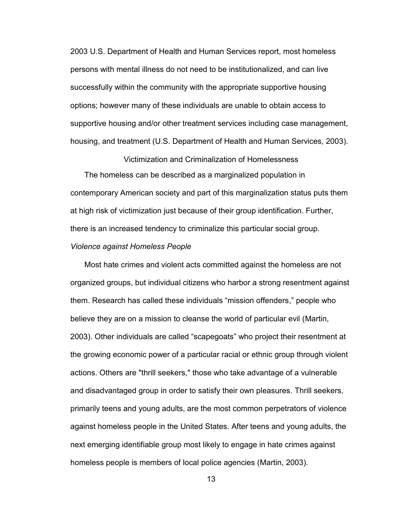2003 U.S. Department of Health and Human Services report, most homeless persons with mental illness do not need to be institutionalized, and can live successfully within the community with the appropriate supportive housing options; however many of these individuals are unable to obtain access to supportive housing and/or other treatment services including case management, housing, and treatment (U.S. Department of Health and Human Services, 2003).

The homeless can be described as a marginalized population in contemporary American society and part of this marginalization status puts them at high risk of victimization just because of their group identification. Further, there is an increased tendency to criminalize this particular social group. *Violence against Homeless People*

Victimization and Criminalization of Homelessness

Most hate crimes and violent acts committed against the homeless are not organized groups, but individual citizens who harbor a strong resentment against them. Research has called these individuals "mission offenders," people who believe they are on a mission to cleanse the world of particular evil (Martin, 2003). Other individuals are called "scapegoats" who project their resentment at the growing economic power of a particular racial or ethnic group through violent actions. Others are "thrill seekers," those who take advantage of a vulnerable and disadvantaged group in order to satisfy their own pleasures. Thrill seekers, primarily teens and young adults, are the most common perpetrators of violence against homeless people in the United States. After teens and young adults, the next emerging identifiable group most likely to engage in hate crimes against homeless people is members of local police agencies (Martin, 2003).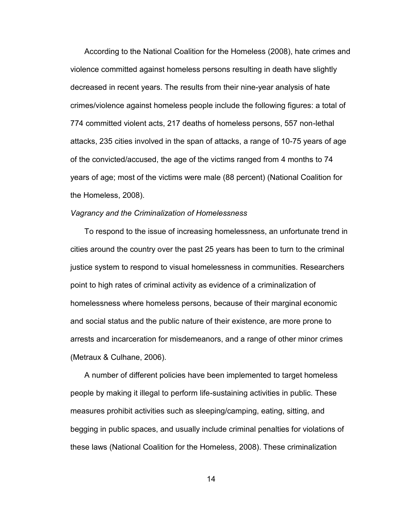According to the National Coalition for the Homeless (2008), hate crimes and violence committed against homeless persons resulting in death have slightly decreased in recent years. The results from their nine-year analysis of hate crimes/violence against homeless people include the following figures: a total of 774 committed violent acts, 217 deaths of homeless persons, 557 non-lethal attacks, 235 cities involved in the span of attacks, a range of 10-75 years of age of the convicted/accused, the age of the victims ranged from 4 months to 74 years of age; most of the victims were male (88 percent) (National Coalition for the Homeless, 2008).

#### *Vagrancy and the Criminalization of Homelessness*

To respond to the issue of increasing homelessness, an unfortunate trend in cities around the country over the past 25 years has been to turn to the criminal justice system to respond to visual homelessness in communities. Researchers point to high rates of criminal activity as evidence of a criminalization of homelessness where homeless persons, because of their marginal economic and social status and the public nature of their existence, are more prone to arrests and incarceration for misdemeanors, and a range of other minor crimes (Metraux & Culhane, 2006).

A number of different policies have been implemented to target homeless people by making it illegal to perform life-sustaining activities in public. These measures prohibit activities such as sleeping/camping, eating, sitting, and begging in public spaces, and usually include criminal penalties for violations of these laws (National Coalition for the Homeless, 2008). These criminalization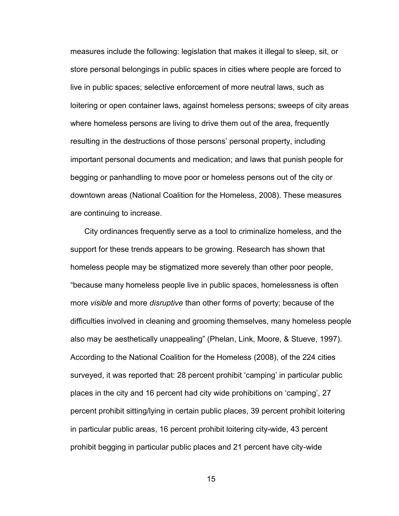measures include the following: legislation that makes it illegal to sleep, sit, or store personal belongings in public spaces in cities where people are forced to live in public spaces; selective enforcement of more neutral laws, such as loitering or open container laws, against homeless persons; sweeps of city areas where homeless persons are living to drive them out of the area, frequently resulting in the destructions of those persons" personal property, including important personal documents and medication; and laws that punish people for begging or panhandling to move poor or homeless persons out of the city or downtown areas (National Coalition for the Homeless, 2008). These measures are continuing to increase.

City ordinances frequently serve as a tool to criminalize homeless, and the support for these trends appears to be growing. Research has shown that homeless people may be stigmatized more severely than other poor people, "because many homeless people live in public spaces, homelessness is often more *visible* and more *disruptive* than other forms of poverty; because of the difficulties involved in cleaning and grooming themselves, many homeless people also may be aesthetically unappealing" (Phelan, Link, Moore, & Stueve, 1997). According to the National Coalition for the Homeless (2008), of the 224 cities surveyed, it was reported that: 28 percent prohibit "camping" in particular public places in the city and 16 percent had city wide prohibitions on "camping", 27 percent prohibit sitting/lying in certain public places, 39 percent prohibit loitering in particular public areas, 16 percent prohibit loitering city-wide, 43 percent prohibit begging in particular public places and 21 percent have city-wide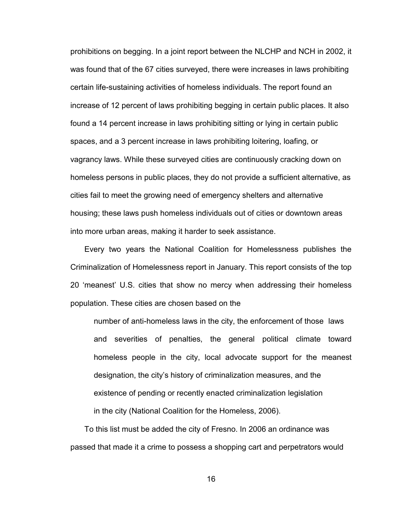prohibitions on begging. In a joint report between the NLCHP and NCH in 2002, it was found that of the 67 cities surveyed, there were increases in laws prohibiting certain life-sustaining activities of homeless individuals. The report found an increase of 12 percent of laws prohibiting begging in certain public places. It also found a 14 percent increase in laws prohibiting sitting or lying in certain public spaces, and a 3 percent increase in laws prohibiting loitering, loafing, or vagrancy laws. While these surveyed cities are continuously cracking down on homeless persons in public places, they do not provide a sufficient alternative, as cities fail to meet the growing need of emergency shelters and alternative housing; these laws push homeless individuals out of cities or downtown areas into more urban areas, making it harder to seek assistance.

Every two years the National Coalition for Homelessness publishes the Criminalization of Homelessness report in January. This report consists of the top 20 "meanest" U.S. cities that show no mercy when addressing their homeless population. These cities are chosen based on the

number of anti-homeless laws in the city, the enforcement of those laws and severities of penalties, the general political climate toward homeless people in the city, local advocate support for the meanest designation, the city"s history of criminalization measures, and the existence of pending or recently enacted criminalization legislation in the city (National Coalition for the Homeless, 2006).

To this list must be added the city of Fresno. In 2006 an ordinance was passed that made it a crime to possess a shopping cart and perpetrators would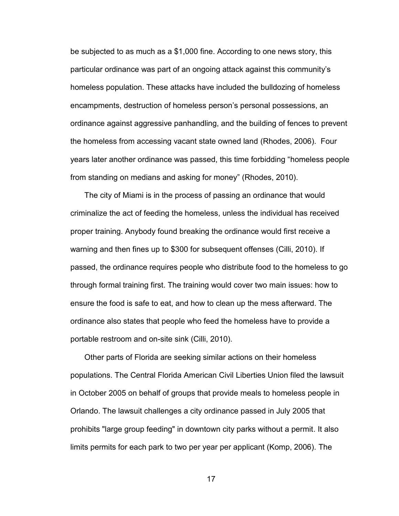be subjected to as much as a \$1,000 fine. According to one news story, this particular ordinance was part of an ongoing attack against this community"s homeless population. These attacks have included the bulldozing of homeless encampments, destruction of homeless person's personal possessions, an ordinance against aggressive panhandling, and the building of fences to prevent the homeless from accessing vacant state owned land (Rhodes, 2006). Four years later another ordinance was passed, this time forbidding "homeless people from standing on medians and asking for money" (Rhodes, 2010).

The city of Miami is in the process of passing an ordinance that would criminalize the act of feeding the homeless, unless the individual has received proper training. Anybody found breaking the ordinance would first receive a warning and then fines up to \$300 for subsequent offenses (Cilli, 2010). If passed, the ordinance requires people who distribute food to the homeless to go through formal training first. The training would cover two main issues: how to ensure the food is safe to eat, and how to clean up the mess afterward. The ordinance also states that people who feed the homeless have to provide a portable restroom and on-site sink (Cilli, 2010).

Other parts of Florida are seeking similar actions on their homeless populations. The Central Florida American Civil Liberties Union filed the lawsuit in October 2005 on behalf of groups that provide meals to homeless people in Orlando. The lawsuit challenges a city ordinance passed in July 2005 that prohibits "large group feeding" in downtown city parks without a permit. It also limits permits for each park to two per year per applicant (Komp, 2006). The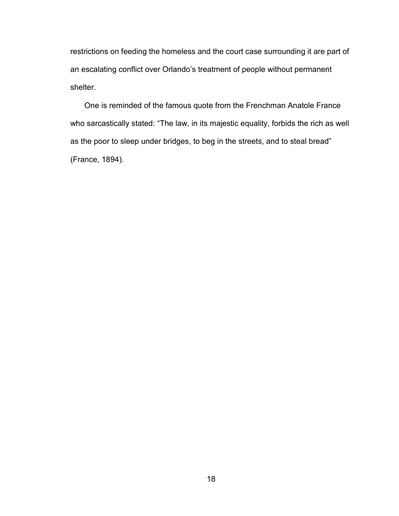restrictions on feeding the homeless and the court case surrounding it are part of an escalating conflict over Orlando's treatment of people without permanent shelter.

One is reminded of the famous quote from the Frenchman Anatole France who sarcastically stated: "The law, in its majestic equality, forbids the rich as well as the poor to sleep under bridges, to beg in the streets, and to steal bread" (France, 1894).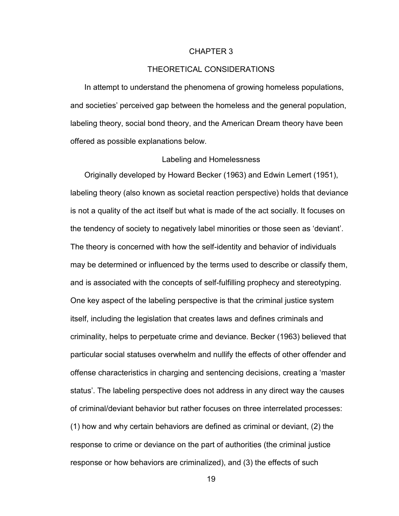#### CHAPTER 3

# THEORETICAL CONSIDERATIONS

In attempt to understand the phenomena of growing homeless populations, and societies" perceived gap between the homeless and the general population, labeling theory, social bond theory, and the American Dream theory have been offered as possible explanations below.

#### Labeling and Homelessness

Originally developed by Howard Becker (1963) and Edwin Lemert (1951), labeling theory (also known as societal reaction perspective) holds that deviance is not a quality of the act itself but what is made of the act socially. It focuses on the tendency of society to negatively label minorities or those seen as "deviant". The theory is concerned with how the self-identity and behavior of individuals may be determined or influenced by the terms used to describe or classify them, and is associated with the concepts of self-fulfilling prophecy and stereotyping. One key aspect of the labeling perspective is that the criminal justice system itself, including the legislation that creates laws and defines criminals and criminality, helps to perpetuate crime and deviance. Becker (1963) believed that particular social statuses overwhelm and nullify the effects of other offender and offense characteristics in charging and sentencing decisions, creating a "master status". The labeling perspective does not address in any direct way the causes of criminal/deviant behavior but rather focuses on three interrelated processes: (1) how and why certain behaviors are defined as criminal or deviant, (2) the response to crime or deviance on the part of authorities (the criminal justice response or how behaviors are criminalized), and (3) the effects of such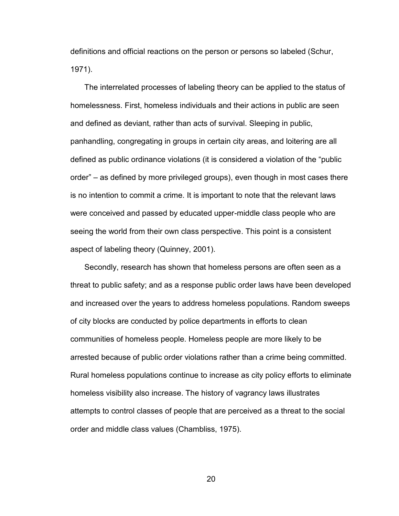definitions and official reactions on the person or persons so labeled (Schur, 1971).

The interrelated processes of labeling theory can be applied to the status of homelessness. First, homeless individuals and their actions in public are seen and defined as deviant, rather than acts of survival. Sleeping in public, panhandling, congregating in groups in certain city areas, and loitering are all defined as public ordinance violations (it is considered a violation of the "public order" – as defined by more privileged groups), even though in most cases there is no intention to commit a crime. It is important to note that the relevant laws were conceived and passed by educated upper-middle class people who are seeing the world from their own class perspective. This point is a consistent aspect of labeling theory (Quinney, 2001).

Secondly, research has shown that homeless persons are often seen as a threat to public safety; and as a response public order laws have been developed and increased over the years to address homeless populations. Random sweeps of city blocks are conducted by police departments in efforts to clean communities of homeless people. Homeless people are more likely to be arrested because of public order violations rather than a crime being committed. Rural homeless populations continue to increase as city policy efforts to eliminate homeless visibility also increase. The history of vagrancy laws illustrates attempts to control classes of people that are perceived as a threat to the social order and middle class values (Chambliss, 1975).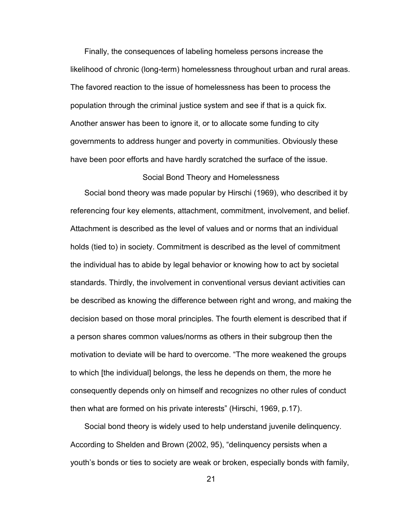Finally, the consequences of labeling homeless persons increase the likelihood of chronic (long-term) homelessness throughout urban and rural areas. The favored reaction to the issue of homelessness has been to process the population through the criminal justice system and see if that is a quick fix. Another answer has been to ignore it, or to allocate some funding to city governments to address hunger and poverty in communities. Obviously these have been poor efforts and have hardly scratched the surface of the issue.

#### Social Bond Theory and Homelessness

Social bond theory was made popular by Hirschi (1969), who described it by referencing four key elements, attachment, commitment, involvement, and belief. Attachment is described as the level of values and or norms that an individual holds (tied to) in society. Commitment is described as the level of commitment the individual has to abide by legal behavior or knowing how to act by societal standards. Thirdly, the involvement in conventional versus deviant activities can be described as knowing the difference between right and wrong, and making the decision based on those moral principles. The fourth element is described that if a person shares common values/norms as others in their subgroup then the motivation to deviate will be hard to overcome. "The more weakened the groups to which [the individual] belongs, the less he depends on them, the more he consequently depends only on himself and recognizes no other rules of conduct then what are formed on his private interests" (Hirschi, 1969, p.17).

Social bond theory is widely used to help understand juvenile delinquency. According to Shelden and Brown (2002, 95), "delinquency persists when a youth"s bonds or ties to society are weak or broken, especially bonds with family,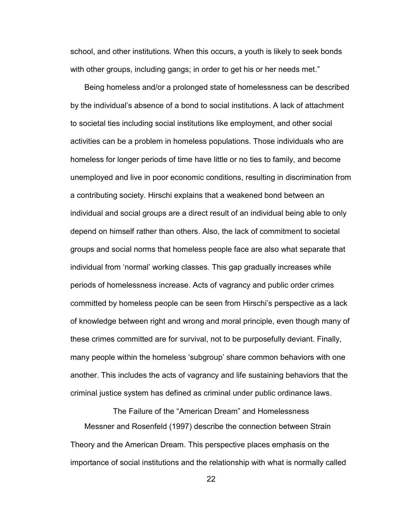school, and other institutions. When this occurs, a youth is likely to seek bonds with other groups, including gangs; in order to get his or her needs met."

Being homeless and/or a prolonged state of homelessness can be described by the individual"s absence of a bond to social institutions. A lack of attachment to societal ties including social institutions like employment, and other social activities can be a problem in homeless populations. Those individuals who are homeless for longer periods of time have little or no ties to family, and become unemployed and live in poor economic conditions, resulting in discrimination from a contributing society. Hirschi explains that a weakened bond between an individual and social groups are a direct result of an individual being able to only depend on himself rather than others. Also, the lack of commitment to societal groups and social norms that homeless people face are also what separate that individual from "normal" working classes. This gap gradually increases while periods of homelessness increase. Acts of vagrancy and public order crimes committed by homeless people can be seen from Hirschi"s perspective as a lack of knowledge between right and wrong and moral principle, even though many of these crimes committed are for survival, not to be purposefully deviant. Finally, many people within the homeless "subgroup" share common behaviors with one another. This includes the acts of vagrancy and life sustaining behaviors that the criminal justice system has defined as criminal under public ordinance laws.

The Failure of the "American Dream" and Homelessness Messner and Rosenfeld (1997) describe the connection between Strain Theory and the American Dream. This perspective places emphasis on the importance of social institutions and the relationship with what is normally called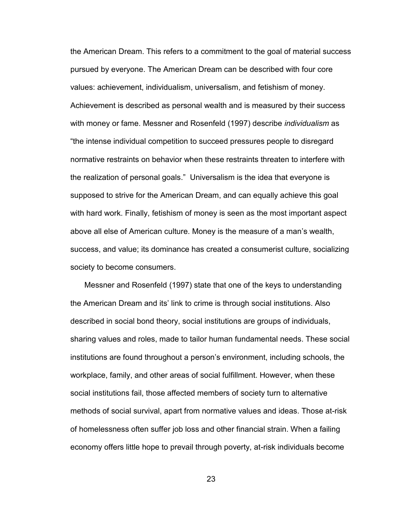the American Dream. This refers to a commitment to the goal of material success pursued by everyone. The American Dream can be described with four core values: achievement, individualism, universalism, and fetishism of money. Achievement is described as personal wealth and is measured by their success with money or fame. Messner and Rosenfeld (1997) describe *individualism* as "the intense individual competition to succeed pressures people to disregard normative restraints on behavior when these restraints threaten to interfere with the realization of personal goals." Universalism is the idea that everyone is supposed to strive for the American Dream, and can equally achieve this goal with hard work. Finally, fetishism of money is seen as the most important aspect above all else of American culture. Money is the measure of a man"s wealth, success, and value; its dominance has created a consumerist culture, socializing society to become consumers.

Messner and Rosenfeld (1997) state that one of the keys to understanding the American Dream and its" link to crime is through social institutions. Also described in social bond theory, social institutions are groups of individuals, sharing values and roles, made to tailor human fundamental needs. These social institutions are found throughout a person"s environment, including schools, the workplace, family, and other areas of social fulfillment. However, when these social institutions fail, those affected members of society turn to alternative methods of social survival, apart from normative values and ideas. Those at-risk of homelessness often suffer job loss and other financial strain. When a failing economy offers little hope to prevail through poverty, at-risk individuals become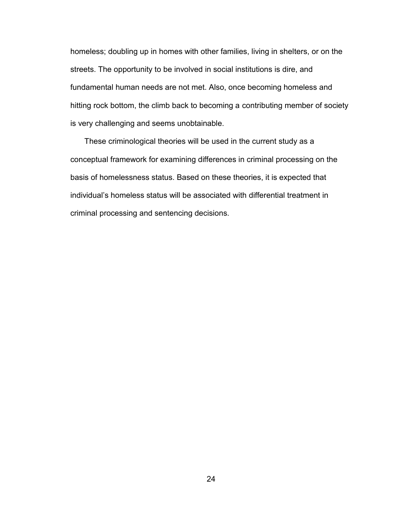homeless; doubling up in homes with other families, living in shelters, or on the streets. The opportunity to be involved in social institutions is dire, and fundamental human needs are not met. Also, once becoming homeless and hitting rock bottom, the climb back to becoming a contributing member of society is very challenging and seems unobtainable.

These criminological theories will be used in the current study as a conceptual framework for examining differences in criminal processing on the basis of homelessness status. Based on these theories, it is expected that individual"s homeless status will be associated with differential treatment in criminal processing and sentencing decisions.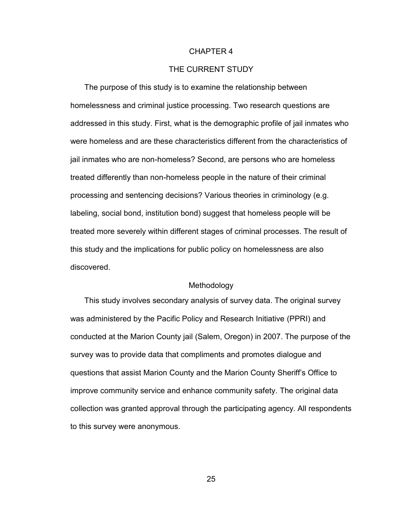#### CHAPTER 4

# THE CURRENT STUDY

The purpose of this study is to examine the relationship between homelessness and criminal justice processing. Two research questions are addressed in this study. First, what is the demographic profile of jail inmates who were homeless and are these characteristics different from the characteristics of jail inmates who are non-homeless? Second, are persons who are homeless treated differently than non-homeless people in the nature of their criminal processing and sentencing decisions? Various theories in criminology (e.g. labeling, social bond, institution bond) suggest that homeless people will be treated more severely within different stages of criminal processes. The result of this study and the implications for public policy on homelessness are also discovered.

#### **Methodology**

This study involves secondary analysis of survey data. The original survey was administered by the Pacific Policy and Research Initiative (PPRI) and conducted at the Marion County jail (Salem, Oregon) in 2007. The purpose of the survey was to provide data that compliments and promotes dialogue and questions that assist Marion County and the Marion County Sheriff"s Office to improve community service and enhance community safety. The original data collection was granted approval through the participating agency. All respondents to this survey were anonymous.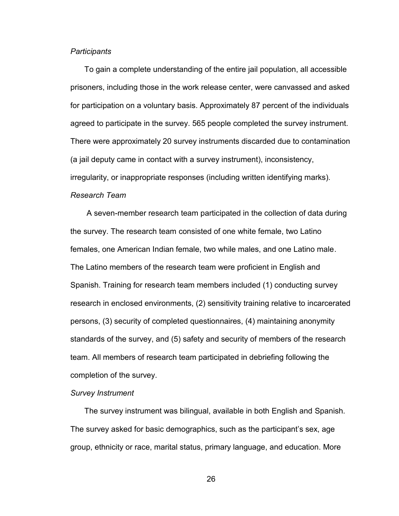#### *Participants*

To gain a complete understanding of the entire jail population, all accessible prisoners, including those in the work release center, were canvassed and asked for participation on a voluntary basis. Approximately 87 percent of the individuals agreed to participate in the survey. 565 people completed the survey instrument. There were approximately 20 survey instruments discarded due to contamination (a jail deputy came in contact with a survey instrument), inconsistency, irregularity, or inappropriate responses (including written identifying marks).

### *Research Team*

A seven-member research team participated in the collection of data during the survey. The research team consisted of one white female, two Latino females, one American Indian female, two while males, and one Latino male. The Latino members of the research team were proficient in English and Spanish. Training for research team members included (1) conducting survey research in enclosed environments, (2) sensitivity training relative to incarcerated persons, (3) security of completed questionnaires, (4) maintaining anonymity standards of the survey, and (5) safety and security of members of the research team. All members of research team participated in debriefing following the completion of the survey.

#### *Survey Instrument*

The survey instrument was bilingual, available in both English and Spanish. The survey asked for basic demographics, such as the participant"s sex, age group, ethnicity or race, marital status, primary language, and education. More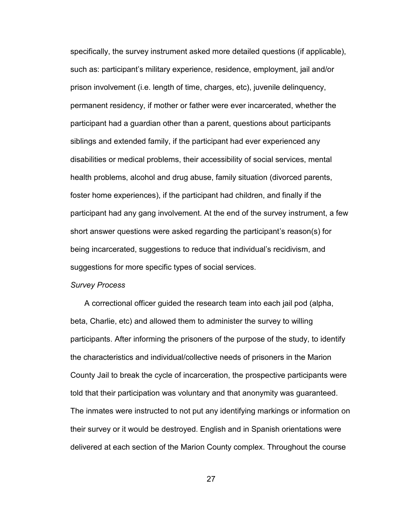specifically, the survey instrument asked more detailed questions (if applicable), such as: participant"s military experience, residence, employment, jail and/or prison involvement (i.e. length of time, charges, etc), juvenile delinquency, permanent residency, if mother or father were ever incarcerated, whether the participant had a guardian other than a parent, questions about participants siblings and extended family, if the participant had ever experienced any disabilities or medical problems, their accessibility of social services, mental health problems, alcohol and drug abuse, family situation (divorced parents, foster home experiences), if the participant had children, and finally if the participant had any gang involvement. At the end of the survey instrument, a few short answer questions were asked regarding the participant"s reason(s) for being incarcerated, suggestions to reduce that individual"s recidivism, and suggestions for more specific types of social services.

#### *Survey Process*

A correctional officer guided the research team into each jail pod (alpha, beta, Charlie, etc) and allowed them to administer the survey to willing participants. After informing the prisoners of the purpose of the study, to identify the characteristics and individual/collective needs of prisoners in the Marion County Jail to break the cycle of incarceration, the prospective participants were told that their participation was voluntary and that anonymity was guaranteed. The inmates were instructed to not put any identifying markings or information on their survey or it would be destroyed. English and in Spanish orientations were delivered at each section of the Marion County complex. Throughout the course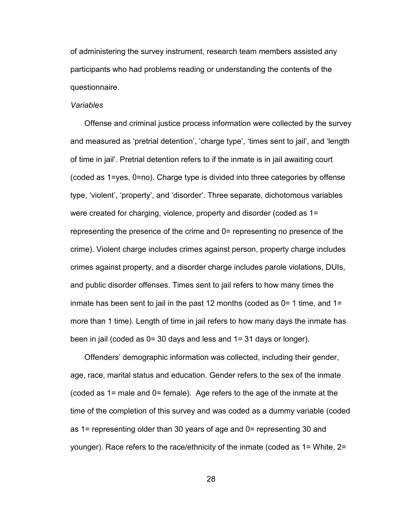of administering the survey instrument, research team members assisted any participants who had problems reading or understanding the contents of the questionnaire.

# *Variables*

Offense and criminal justice process information were collected by the survey and measured as 'pretrial detention', 'charge type', 'times sent to jail', and 'length of time in jail". Pretrial detention refers to if the inmate is in jail awaiting court (coded as 1=yes, 0=no). Charge type is divided into three categories by offense type, "violent", "property", and "disorder". Three separate, dichotomous variables were created for charging, violence, property and disorder (coded as 1= representing the presence of the crime and 0= representing no presence of the crime). Violent charge includes crimes against person, property charge includes crimes against property, and a disorder charge includes parole violations, DUIs, and public disorder offenses. Times sent to jail refers to how many times the inmate has been sent to jail in the past 12 months (coded as  $0=1$  time, and  $1=$ more than 1 time). Length of time in jail refers to how many days the inmate has been in jail (coded as 0= 30 days and less and 1= 31 days or longer).

Offenders" demographic information was collected, including their gender, age, race, marital status and education. Gender refers to the sex of the inmate (coded as 1= male and 0= female). Age refers to the age of the inmate at the time of the completion of this survey and was coded as a dummy variable (coded as 1= representing older than 30 years of age and 0= representing 30 and younger). Race refers to the race/ethnicity of the inmate (coded as 1= White, 2=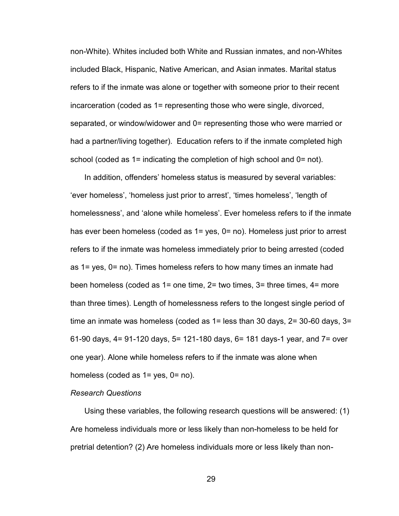non-White). Whites included both White and Russian inmates, and non-Whites included Black, Hispanic, Native American, and Asian inmates. Marital status refers to if the inmate was alone or together with someone prior to their recent incarceration (coded as 1= representing those who were single, divorced, separated, or window/widower and 0= representing those who were married or had a partner/living together). Education refers to if the inmate completed high school (coded as 1= indicating the completion of high school and 0= not).

In addition, offenders' homeless status is measured by several variables: "ever homeless", "homeless just prior to arrest", "times homeless", "length of homelessness', and 'alone while homeless'. Ever homeless refers to if the inmate has ever been homeless (coded as 1= yes, 0= no). Homeless just prior to arrest refers to if the inmate was homeless immediately prior to being arrested (coded as 1= yes, 0= no). Times homeless refers to how many times an inmate had been homeless (coded as 1= one time, 2= two times, 3= three times, 4= more than three times). Length of homelessness refers to the longest single period of time an inmate was homeless (coded as 1= less than 30 days, 2= 30-60 days, 3= 61-90 days, 4= 91-120 days, 5= 121-180 days, 6= 181 days-1 year, and 7= over one year). Alone while homeless refers to if the inmate was alone when homeless (coded as 1= yes, 0= no).

#### *Research Questions*

Using these variables, the following research questions will be answered: (1) Are homeless individuals more or less likely than non-homeless to be held for pretrial detention? (2) Are homeless individuals more or less likely than non-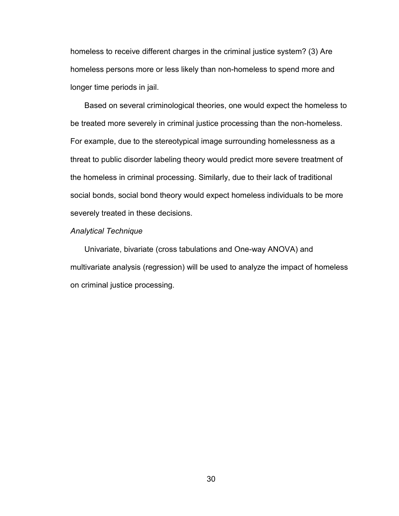homeless to receive different charges in the criminal justice system? (3) Are homeless persons more or less likely than non-homeless to spend more and longer time periods in jail.

Based on several criminological theories, one would expect the homeless to be treated more severely in criminal justice processing than the non-homeless. For example, due to the stereotypical image surrounding homelessness as a threat to public disorder labeling theory would predict more severe treatment of the homeless in criminal processing. Similarly, due to their lack of traditional social bonds, social bond theory would expect homeless individuals to be more severely treated in these decisions.

#### *Analytical Technique*

Univariate, bivariate (cross tabulations and One-way ANOVA) and multivariate analysis (regression) will be used to analyze the impact of homeless on criminal justice processing.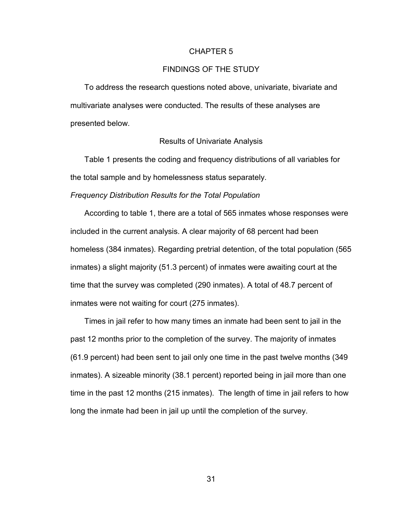#### CHAPTER 5

## FINDINGS OF THE STUDY

To address the research questions noted above, univariate, bivariate and multivariate analyses were conducted. The results of these analyses are presented below.

#### Results of Univariate Analysis

Table 1 presents the coding and frequency distributions of all variables for the total sample and by homelessness status separately.

## *Frequency Distribution Results for the Total Population*

According to table 1, there are a total of 565 inmates whose responses were included in the current analysis. A clear majority of 68 percent had been homeless (384 inmates). Regarding pretrial detention, of the total population (565 inmates) a slight majority (51.3 percent) of inmates were awaiting court at the time that the survey was completed (290 inmates). A total of 48.7 percent of inmates were not waiting for court (275 inmates).

Times in jail refer to how many times an inmate had been sent to jail in the past 12 months prior to the completion of the survey. The majority of inmates (61.9 percent) had been sent to jail only one time in the past twelve months (349 inmates). A sizeable minority (38.1 percent) reported being in jail more than one time in the past 12 months (215 inmates). The length of time in jail refers to how long the inmate had been in jail up until the completion of the survey.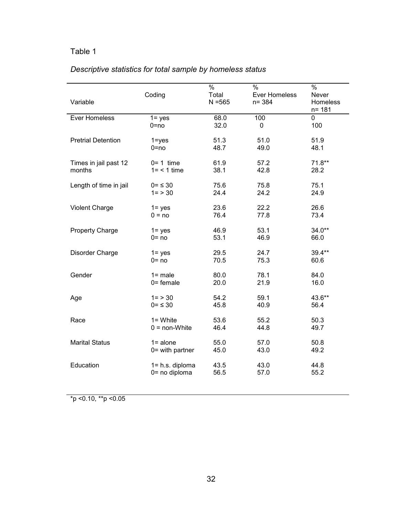# *Descriptive statistics for total sample by homeless status*

|                           | Coding                 | $\frac{1}{2}$<br>Total | $\frac{1}{2}$<br>Ever Homeless | $\frac{9}{6}$<br>Never |
|---------------------------|------------------------|------------------------|--------------------------------|------------------------|
| Variable                  |                        | $N = 565$              | $n = 384$                      | Homeless<br>$n = 181$  |
| Ever Homeless             | $1 = yes$              | 68.0                   | 100                            | 0                      |
|                           | $0 = no$               | 32.0                   | 0                              | 100                    |
| <b>Pretrial Detention</b> | $1 = yes$              | 51.3                   | 51.0                           | 51.9                   |
|                           | $0 = no$               | 48.7                   | 49.0                           | 48.1                   |
| Times in jail past 12     | $0=1$ time             | 61.9                   | 57.2                           | $71.8***$              |
| months                    | $1 = 1$ time           | 38.1                   | 42.8                           | 28.2                   |
| Length of time in jail    | $0 = \leq 30$          | 75.6                   | 75.8                           | 75.1                   |
|                           | $1 = 30$               | 24.4                   | 24.2                           | 24.9                   |
| <b>Violent Charge</b>     | $1 = yes$              | 23.6                   | 22.2                           | 26.6                   |
|                           | $0 = no$               | 76.4                   | 77.8                           | 73.4                   |
| <b>Property Charge</b>    | $1 = yes$              | 46.9                   | 53.1                           | $34.0**$               |
|                           | $0 = no$               | 53.1                   | 46.9                           | 66.0                   |
| Disorder Charge           | $1 = yes$              | 29.5                   | 24.7                           | 39.4**                 |
|                           | $0 = no$               | 70.5                   | 75.3                           | 60.6                   |
| Gender                    | $1 = male$             | 80.0                   | 78.1                           | 84.0                   |
|                           | $0 =$ female           | 20.0                   | 21.9                           | 16.0                   |
| Age                       | $1 = > 30$             | 54.2                   | 59.1                           | 43.6**                 |
|                           | $0 = 530$              | 45.8                   | 40.9                           | 56.4                   |
| Race                      | $1 =$ White            | 53.6                   | 55.2                           | 50.3                   |
|                           | $0 = \text{non-White}$ | 46.4                   | 44.8                           | 49.7                   |
| <b>Marital Status</b>     | $1 = alone$            | 55.0                   | 57.0                           | 50.8                   |
|                           | $0 =$ with partner     | 45.0                   | 43.0                           | 49.2                   |
| Education                 | 1= h.s. diploma        | 43.5                   | 43.0                           | 44.8                   |
|                           | 0= no diploma          | 56.5                   | 57.0                           | 55.2                   |

 $*$ p <0.10,  $*$  $*$ p <0.05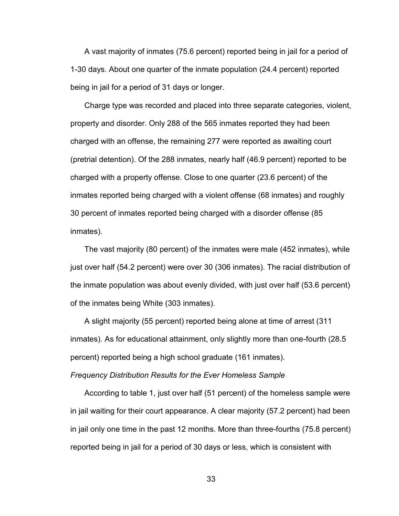A vast majority of inmates (75.6 percent) reported being in jail for a period of 1-30 days. About one quarter of the inmate population (24.4 percent) reported being in jail for a period of 31 days or longer.

Charge type was recorded and placed into three separate categories, violent, property and disorder. Only 288 of the 565 inmates reported they had been charged with an offense, the remaining 277 were reported as awaiting court (pretrial detention). Of the 288 inmates, nearly half (46.9 percent) reported to be charged with a property offense. Close to one quarter (23.6 percent) of the inmates reported being charged with a violent offense (68 inmates) and roughly 30 percent of inmates reported being charged with a disorder offense (85 inmates).

The vast majority (80 percent) of the inmates were male (452 inmates), while just over half (54.2 percent) were over 30 (306 inmates). The racial distribution of the inmate population was about evenly divided, with just over half (53.6 percent) of the inmates being White (303 inmates).

A slight majority (55 percent) reported being alone at time of arrest (311 inmates). As for educational attainment, only slightly more than one-fourth (28.5 percent) reported being a high school graduate (161 inmates).

*Frequency Distribution Results for the Ever Homeless Sample* 

According to table 1, just over half (51 percent) of the homeless sample were in jail waiting for their court appearance. A clear majority (57.2 percent) had been in jail only one time in the past 12 months. More than three-fourths (75.8 percent) reported being in jail for a period of 30 days or less, which is consistent with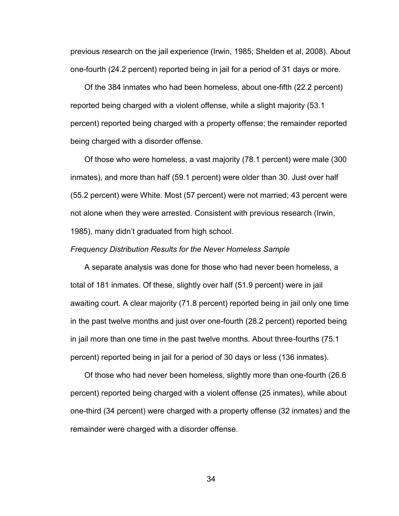previous research on the jail experience (Irwin, 1985; Shelden et al, 2008). About one-fourth (24.2 percent) reported being in jail for a period of 31 days or more.

Of the 384 inmates who had been homeless, about one-fifth (22.2 percent) reported being charged with a violent offense, while a slight majority (53.1 percent) reported being charged with a property offense; the remainder reported being charged with a disorder offense.

Of those who were homeless, a vast majority (78.1 percent) were male (300 inmates), and more than half (59.1 percent) were older than 30. Just over half (55.2 percent) were White. Most (57 percent) were not married; 43 percent were not alone when they were arrested. Consistent with previous research (Irwin, 1985), many didn"t graduated from high school.

#### *Frequency Distribution Results for the Never Homeless Sample*

A separate analysis was done for those who had never been homeless, a total of 181 inmates. Of these, slightly over half (51.9 percent) were in jail awaiting court. A clear majority (71.8 percent) reported being in jail only one time in the past twelve months and just over one-fourth (28.2 percent) reported being in jail more than one time in the past twelve months. About three-fourths (75.1 percent) reported being in jail for a period of 30 days or less (136 inmates).

Of those who had never been homeless, slightly more than one-fourth (26.6 percent) reported being charged with a violent offense (25 inmates), while about one-third (34 percent) were charged with a property offense (32 inmates) and the remainder were charged with a disorder offense.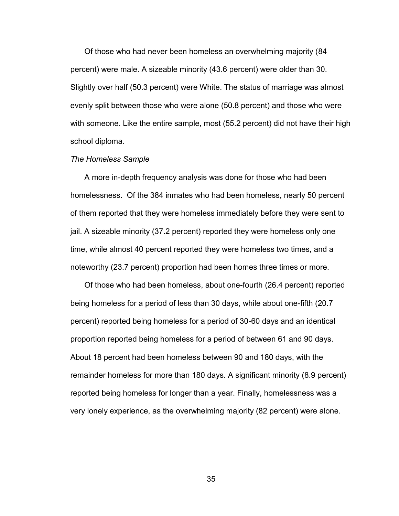Of those who had never been homeless an overwhelming majority (84 percent) were male. A sizeable minority (43.6 percent) were older than 30. Slightly over half (50.3 percent) were White. The status of marriage was almost evenly split between those who were alone (50.8 percent) and those who were with someone. Like the entire sample, most (55.2 percent) did not have their high school diploma.

#### *The Homeless Sample*

A more in-depth frequency analysis was done for those who had been homelessness. Of the 384 inmates who had been homeless, nearly 50 percent of them reported that they were homeless immediately before they were sent to jail. A sizeable minority (37.2 percent) reported they were homeless only one time, while almost 40 percent reported they were homeless two times, and a noteworthy (23.7 percent) proportion had been homes three times or more.

Of those who had been homeless, about one-fourth (26.4 percent) reported being homeless for a period of less than 30 days, while about one-fifth (20.7 percent) reported being homeless for a period of 30-60 days and an identical proportion reported being homeless for a period of between 61 and 90 days. About 18 percent had been homeless between 90 and 180 days, with the remainder homeless for more than 180 days. A significant minority (8.9 percent) reported being homeless for longer than a year. Finally, homelessness was a very lonely experience, as the overwhelming majority (82 percent) were alone.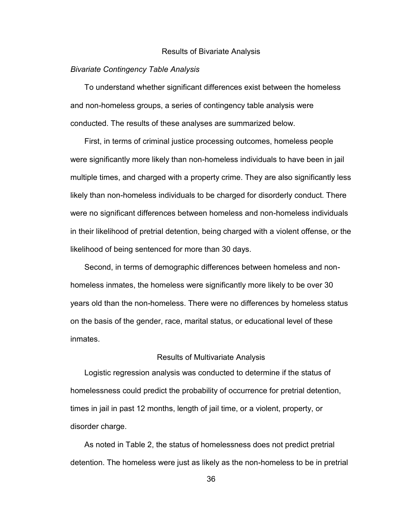#### Results of Bivariate Analysis

#### *Bivariate Contingency Table Analysis*

To understand whether significant differences exist between the homeless and non-homeless groups, a series of contingency table analysis were conducted. The results of these analyses are summarized below.

First, in terms of criminal justice processing outcomes, homeless people were significantly more likely than non-homeless individuals to have been in jail multiple times, and charged with a property crime. They are also significantly less likely than non-homeless individuals to be charged for disorderly conduct. There were no significant differences between homeless and non-homeless individuals in their likelihood of pretrial detention, being charged with a violent offense, or the likelihood of being sentenced for more than 30 days.

Second, in terms of demographic differences between homeless and nonhomeless inmates, the homeless were significantly more likely to be over 30 years old than the non-homeless. There were no differences by homeless status on the basis of the gender, race, marital status, or educational level of these inmates.

#### Results of Multivariate Analysis

Logistic regression analysis was conducted to determine if the status of homelessness could predict the probability of occurrence for pretrial detention, times in jail in past 12 months, length of jail time, or a violent, property, or disorder charge.

As noted in Table 2, the status of homelessness does not predict pretrial detention. The homeless were just as likely as the non-homeless to be in pretrial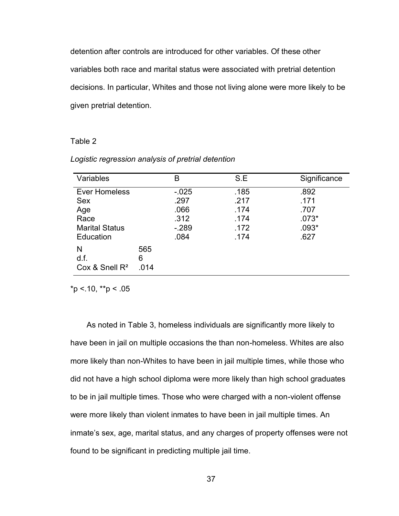detention after controls are introduced for other variables. Of these other variables both race and marital status were associated with pretrial detention decisions. In particular, Whites and those not living alone were more likely to be given pretrial detention.

# Table 2

| Variables             |      | B        | S.E  | Significance |
|-----------------------|------|----------|------|--------------|
| Ever Homeless         |      | $-0.025$ | .185 | .892         |
| <b>Sex</b>            |      | .297     | .217 | .171         |
| Age                   |      | .066     | .174 | .707         |
| Race                  |      | .312     | .174 | $.073*$      |
| <b>Marital Status</b> |      | $-289$   | .172 | $.093*$      |
| Education             |      | .084     | .174 | .627         |
| N                     | 565  |          |      |              |
| d.f.                  | 6    |          |      |              |
| Cox & Snell $R^2$     | .014 |          |      |              |

#### *Logistic regression analysis of pretrial detention*

 $*p$  < .10,  $*p$  < .05

As noted in Table 3, homeless individuals are significantly more likely to have been in jail on multiple occasions the than non-homeless. Whites are also more likely than non-Whites to have been in jail multiple times, while those who did not have a high school diploma were more likely than high school graduates to be in jail multiple times. Those who were charged with a non-violent offense were more likely than violent inmates to have been in jail multiple times. An inmate's sex, age, marital status, and any charges of property offenses were not found to be significant in predicting multiple jail time.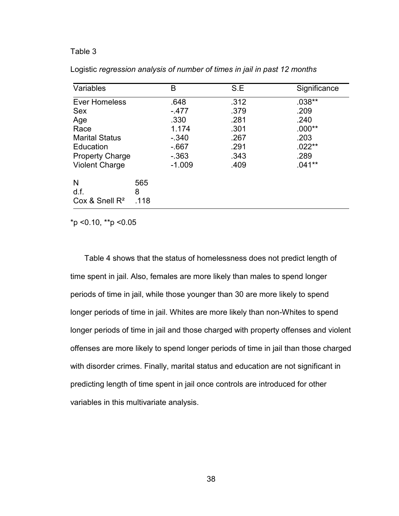| Variables              |      | B        | S.E  | Significance |
|------------------------|------|----------|------|--------------|
| <b>Ever Homeless</b>   |      | .648     | .312 | $.038**$     |
| <b>Sex</b>             |      | $-477$   | .379 | .209         |
| Age                    |      | .330     | .281 | .240         |
| Race                   |      | 1.174    | .301 | $.000**$     |
| <b>Marital Status</b>  |      | $-340$   | .267 | .203         |
| Education              |      | $-667$   | .291 | $.022**$     |
| <b>Property Charge</b> |      | $-363$   | .343 | .289         |
| <b>Violent Charge</b>  |      | $-1.009$ | .409 | $.041**$     |
| N                      | 565  |          |      |              |
| d.f.                   | 8    |          |      |              |
| Cox & Snell $R^2$      | .118 |          |      |              |

Logistic *regression analysis of number of times in jail in past 12 months*

\*p <0.10, \*\*p <0.05

Table 4 shows that the status of homelessness does not predict length of time spent in jail. Also, females are more likely than males to spend longer periods of time in jail, while those younger than 30 are more likely to spend longer periods of time in jail. Whites are more likely than non-Whites to spend longer periods of time in jail and those charged with property offenses and violent offenses are more likely to spend longer periods of time in jail than those charged with disorder crimes. Finally, marital status and education are not significant in predicting length of time spent in jail once controls are introduced for other variables in this multivariate analysis.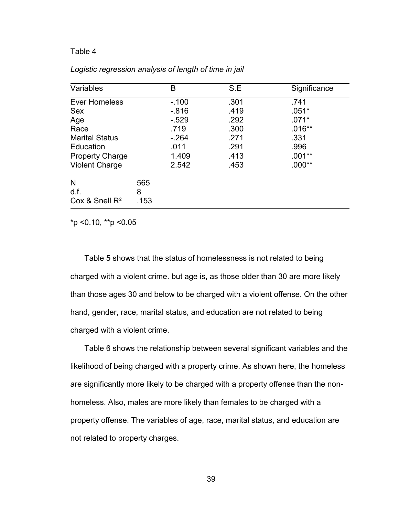| Variables              |      | B      | S.E  | Significance |
|------------------------|------|--------|------|--------------|
| Ever Homeless          |      | $-100$ | .301 | .741         |
| <b>Sex</b>             |      | $-816$ | .419 | $.051*$      |
| Age                    |      | $-529$ | .292 | $.071*$      |
| Race                   |      | .719   | .300 | $.016**$     |
| <b>Marital Status</b>  |      | $-264$ | .271 | .331         |
| Education              |      | .011   | .291 | .996         |
| <b>Property Charge</b> |      | 1.409  | .413 | $.001**$     |
| <b>Violent Charge</b>  |      | 2.542  | .453 | $.000**$     |
| N                      | 565  |        |      |              |
| d.f.                   | 8    |        |      |              |
| Cox & Snell $R^2$      | .153 |        |      |              |

# *Logistic regression analysis of length of time in jail*

\*p <0.10, \*\*p <0.05

Table 5 shows that the status of homelessness is not related to being charged with a violent crime. but age is, as those older than 30 are more likely than those ages 30 and below to be charged with a violent offense. On the other hand, gender, race, marital status, and education are not related to being charged with a violent crime.

Table 6 shows the relationship between several significant variables and the likelihood of being charged with a property crime. As shown here, the homeless are significantly more likely to be charged with a property offense than the nonhomeless. Also, males are more likely than females to be charged with a property offense. The variables of age, race, marital status, and education are not related to property charges.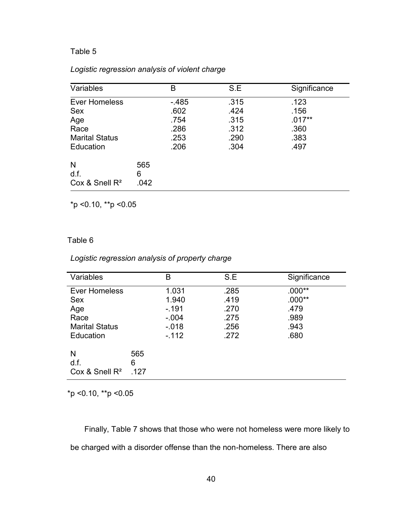# *Logistic regression analysis of violent charge*

| Variables                                                                               |                  | B                                              | S.E                                          | Significance                                     |
|-----------------------------------------------------------------------------------------|------------------|------------------------------------------------|----------------------------------------------|--------------------------------------------------|
| <b>Ever Homeless</b><br><b>Sex</b><br>Age<br>Race<br><b>Marital Status</b><br>Education |                  | $-485$<br>.602<br>.754<br>.286<br>.253<br>.206 | .315<br>.424<br>.315<br>.312<br>.290<br>.304 | .123<br>.156<br>$.017**$<br>.360<br>.383<br>.497 |
| N<br>d.f.<br>Cox & Snell $R^2$                                                          | 565<br>6<br>.042 |                                                |                                              |                                                  |

\*p <0.10, \*\*p <0.05

# Table 6

# *Logistic regression analysis of property charge*

| Variables                                                                               |                  | B                                                       | S.E                                          | Significance                                         |
|-----------------------------------------------------------------------------------------|------------------|---------------------------------------------------------|----------------------------------------------|------------------------------------------------------|
| <b>Ever Homeless</b><br><b>Sex</b><br>Age<br>Race<br><b>Marital Status</b><br>Education |                  | 1.031<br>1.940<br>$-191$<br>$-.004$<br>$-018$<br>$-112$ | .285<br>.419<br>.270<br>.275<br>.256<br>.272 | $.000**$<br>$.000**$<br>.479<br>.989<br>.943<br>.680 |
| N<br>d.f.<br>Cox & Snell $R^2$                                                          | 565<br>6<br>.127 |                                                         |                                              |                                                      |

\*p <0.10, \*\*p <0.05

Finally, Table 7 shows that those who were not homeless were more likely to be charged with a disorder offense than the non-homeless. There are also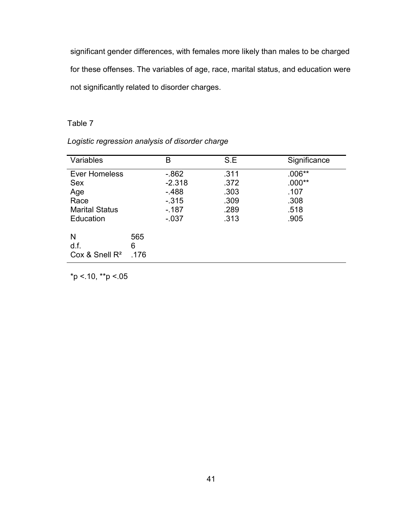significant gender differences, with females more likely than males to be charged for these offenses. The variables of age, race, marital status, and education were not significantly related to disorder charges.

# Table 7

| Variables                                                                        |                  | в                                                             | S.E                                          | Significance                                         |
|----------------------------------------------------------------------------------|------------------|---------------------------------------------------------------|----------------------------------------------|------------------------------------------------------|
| Ever Homeless<br><b>Sex</b><br>Age<br>Race<br><b>Marital Status</b><br>Education |                  | $-0.862$<br>$-2.318$<br>$-488$<br>$-315$<br>$-187$<br>$-0.37$ | .311<br>.372<br>.303<br>.309<br>.289<br>.313 | $.006**$<br>$.000**$<br>.107<br>.308<br>.518<br>.905 |
| N<br>d.f.<br>Cox & Snell $R^2$                                                   | 565<br>6<br>-176 |                                                               |                                              |                                                      |

*Logistic regression analysis of disorder charge*

 $*p < 10, **p < 05$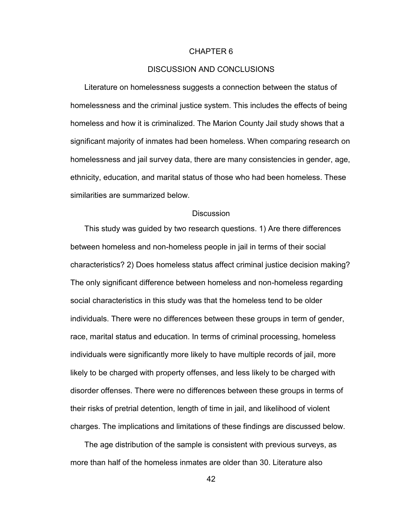#### CHAPTER 6

## DISCUSSION AND CONCLUSIONS

Literature on homelessness suggests a connection between the status of homelessness and the criminal justice system. This includes the effects of being homeless and how it is criminalized. The Marion County Jail study shows that a significant majority of inmates had been homeless. When comparing research on homelessness and jail survey data, there are many consistencies in gender, age, ethnicity, education, and marital status of those who had been homeless. These similarities are summarized below.

## **Discussion**

This study was guided by two research questions. 1) Are there differences between homeless and non-homeless people in jail in terms of their social characteristics? 2) Does homeless status affect criminal justice decision making? The only significant difference between homeless and non-homeless regarding social characteristics in this study was that the homeless tend to be older individuals. There were no differences between these groups in term of gender, race, marital status and education. In terms of criminal processing, homeless individuals were significantly more likely to have multiple records of jail, more likely to be charged with property offenses, and less likely to be charged with disorder offenses. There were no differences between these groups in terms of their risks of pretrial detention, length of time in jail, and likelihood of violent charges. The implications and limitations of these findings are discussed below.

The age distribution of the sample is consistent with previous surveys, as more than half of the homeless inmates are older than 30. Literature also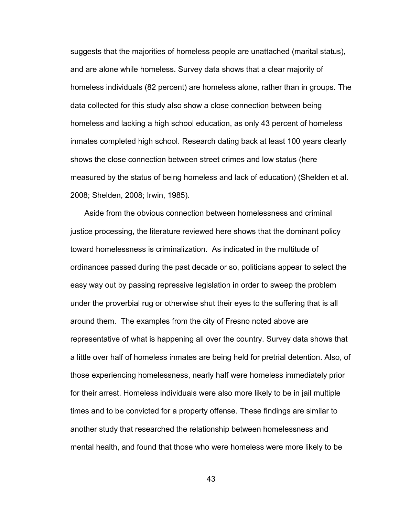suggests that the majorities of homeless people are unattached (marital status), and are alone while homeless. Survey data shows that a clear majority of homeless individuals (82 percent) are homeless alone, rather than in groups. The data collected for this study also show a close connection between being homeless and lacking a high school education, as only 43 percent of homeless inmates completed high school. Research dating back at least 100 years clearly shows the close connection between street crimes and low status (here measured by the status of being homeless and lack of education) (Shelden et al. 2008; Shelden, 2008; Irwin, 1985).

Aside from the obvious connection between homelessness and criminal justice processing, the literature reviewed here shows that the dominant policy toward homelessness is criminalization. As indicated in the multitude of ordinances passed during the past decade or so, politicians appear to select the easy way out by passing repressive legislation in order to sweep the problem under the proverbial rug or otherwise shut their eyes to the suffering that is all around them. The examples from the city of Fresno noted above are representative of what is happening all over the country. Survey data shows that a little over half of homeless inmates are being held for pretrial detention. Also, of those experiencing homelessness, nearly half were homeless immediately prior for their arrest. Homeless individuals were also more likely to be in jail multiple times and to be convicted for a property offense. These findings are similar to another study that researched the relationship between homelessness and mental health, and found that those who were homeless were more likely to be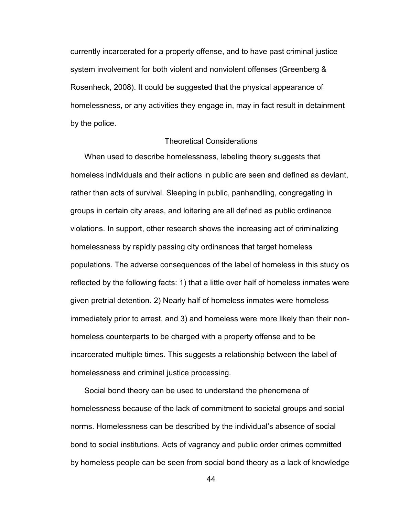currently incarcerated for a property offense, and to have past criminal justice system involvement for both violent and nonviolent offenses (Greenberg & Rosenheck, 2008). It could be suggested that the physical appearance of homelessness, or any activities they engage in, may in fact result in detainment by the police.

# Theoretical Considerations

When used to describe homelessness, labeling theory suggests that homeless individuals and their actions in public are seen and defined as deviant, rather than acts of survival. Sleeping in public, panhandling, congregating in groups in certain city areas, and loitering are all defined as public ordinance violations. In support, other research shows the increasing act of criminalizing homelessness by rapidly passing city ordinances that target homeless populations. The adverse consequences of the label of homeless in this study os reflected by the following facts: 1) that a little over half of homeless inmates were given pretrial detention. 2) Nearly half of homeless inmates were homeless immediately prior to arrest, and 3) and homeless were more likely than their nonhomeless counterparts to be charged with a property offense and to be incarcerated multiple times. This suggests a relationship between the label of homelessness and criminal justice processing.

Social bond theory can be used to understand the phenomena of homelessness because of the lack of commitment to societal groups and social norms. Homelessness can be described by the individual"s absence of social bond to social institutions. Acts of vagrancy and public order crimes committed by homeless people can be seen from social bond theory as a lack of knowledge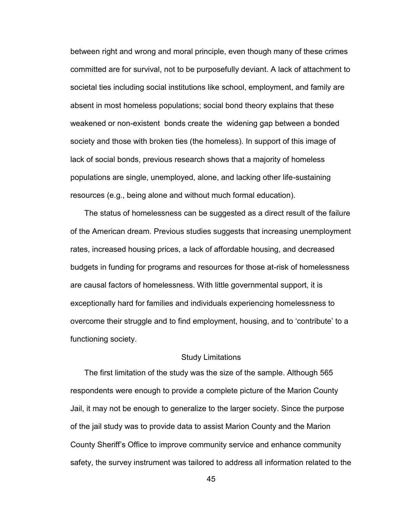between right and wrong and moral principle, even though many of these crimes committed are for survival, not to be purposefully deviant. A lack of attachment to societal ties including social institutions like school, employment, and family are absent in most homeless populations; social bond theory explains that these weakened or non-existent bonds create the widening gap between a bonded society and those with broken ties (the homeless). In support of this image of lack of social bonds, previous research shows that a majority of homeless populations are single, unemployed, alone, and lacking other life-sustaining resources (e.g., being alone and without much formal education).

The status of homelessness can be suggested as a direct result of the failure of the American dream. Previous studies suggests that increasing unemployment rates, increased housing prices, a lack of affordable housing, and decreased budgets in funding for programs and resources for those at-risk of homelessness are causal factors of homelessness. With little governmental support, it is exceptionally hard for families and individuals experiencing homelessness to overcome their struggle and to find employment, housing, and to "contribute" to a functioning society.

#### Study Limitations

The first limitation of the study was the size of the sample. Although 565 respondents were enough to provide a complete picture of the Marion County Jail, it may not be enough to generalize to the larger society. Since the purpose of the jail study was to provide data to assist Marion County and the Marion County Sheriff"s Office to improve community service and enhance community safety, the survey instrument was tailored to address all information related to the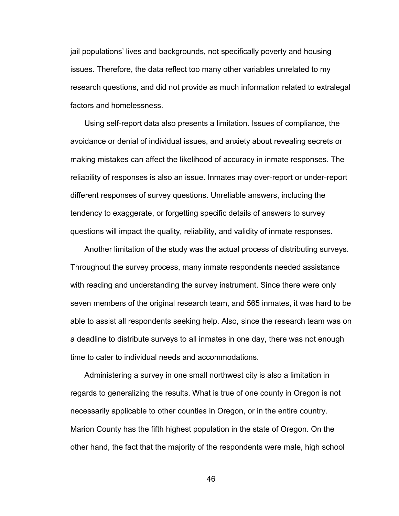jail populations" lives and backgrounds, not specifically poverty and housing issues. Therefore, the data reflect too many other variables unrelated to my research questions, and did not provide as much information related to extralegal factors and homelessness.

Using self-report data also presents a limitation. Issues of compliance, the avoidance or denial of individual issues, and anxiety about revealing secrets or making mistakes can affect the likelihood of accuracy in inmate responses. The reliability of responses is also an issue. Inmates may over-report or under-report different responses of survey questions. Unreliable answers, including the tendency to exaggerate, or forgetting specific details of answers to survey questions will impact the quality, reliability, and validity of inmate responses.

Another limitation of the study was the actual process of distributing surveys. Throughout the survey process, many inmate respondents needed assistance with reading and understanding the survey instrument. Since there were only seven members of the original research team, and 565 inmates, it was hard to be able to assist all respondents seeking help. Also, since the research team was on a deadline to distribute surveys to all inmates in one day, there was not enough time to cater to individual needs and accommodations.

Administering a survey in one small northwest city is also a limitation in regards to generalizing the results. What is true of one county in Oregon is not necessarily applicable to other counties in Oregon, or in the entire country. Marion County has the fifth highest population in the state of Oregon. On the other hand, the fact that the majority of the respondents were male, high school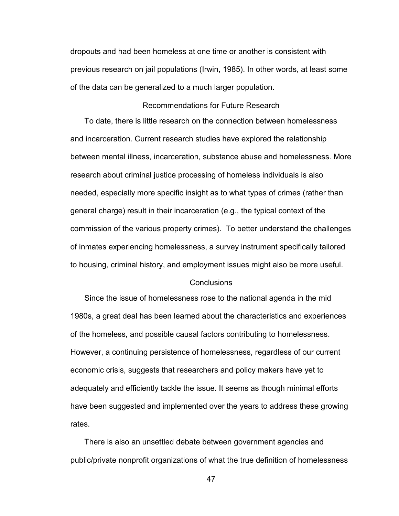dropouts and had been homeless at one time or another is consistent with previous research on jail populations (Irwin, 1985). In other words, at least some of the data can be generalized to a much larger population.

## Recommendations for Future Research

To date, there is little research on the connection between homelessness and incarceration. Current research studies have explored the relationship between mental illness, incarceration, substance abuse and homelessness. More research about criminal justice processing of homeless individuals is also needed, especially more specific insight as to what types of crimes (rather than general charge) result in their incarceration (e.g., the typical context of the commission of the various property crimes). To better understand the challenges of inmates experiencing homelessness, a survey instrument specifically tailored to housing, criminal history, and employment issues might also be more useful.

#### **Conclusions**

Since the issue of homelessness rose to the national agenda in the mid 1980s, a great deal has been learned about the characteristics and experiences of the homeless, and possible causal factors contributing to homelessness. However, a continuing persistence of homelessness, regardless of our current economic crisis, suggests that researchers and policy makers have yet to adequately and efficiently tackle the issue. It seems as though minimal efforts have been suggested and implemented over the years to address these growing rates.

There is also an unsettled debate between government agencies and public/private nonprofit organizations of what the true definition of homelessness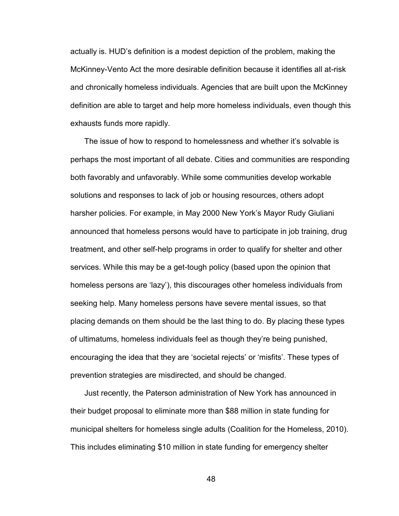actually is. HUD"s definition is a modest depiction of the problem, making the McKinney-Vento Act the more desirable definition because it identifies all at-risk and chronically homeless individuals. Agencies that are built upon the McKinney definition are able to target and help more homeless individuals, even though this exhausts funds more rapidly.

The issue of how to respond to homelessness and whether it's solvable is perhaps the most important of all debate. Cities and communities are responding both favorably and unfavorably. While some communities develop workable solutions and responses to lack of job or housing resources, others adopt harsher policies. For example, in May 2000 New York"s Mayor Rudy Giuliani announced that homeless persons would have to participate in job training, drug treatment, and other self-help programs in order to qualify for shelter and other services. While this may be a get-tough policy (based upon the opinion that homeless persons are "lazy"), this discourages other homeless individuals from seeking help. Many homeless persons have severe mental issues, so that placing demands on them should be the last thing to do. By placing these types of ultimatums, homeless individuals feel as though they"re being punished, encouraging the idea that they are 'societal rejects' or 'misfits'. These types of prevention strategies are misdirected, and should be changed.

Just recently, the Paterson administration of New York has announced in their budget proposal to eliminate more than \$88 million in state funding for municipal shelters for homeless single adults (Coalition for the Homeless, 2010). This includes eliminating \$10 million in state funding for emergency shelter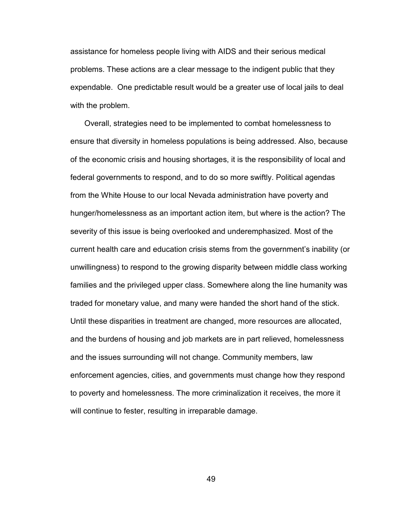assistance for homeless people living with AIDS and their serious medical problems. These actions are a clear message to the indigent public that they expendable. One predictable result would be a greater use of local jails to deal with the problem.

Overall, strategies need to be implemented to combat homelessness to ensure that diversity in homeless populations is being addressed. Also, because of the economic crisis and housing shortages, it is the responsibility of local and federal governments to respond, and to do so more swiftly. Political agendas from the White House to our local Nevada administration have poverty and hunger/homelessness as an important action item, but where is the action? The severity of this issue is being overlooked and underemphasized. Most of the current health care and education crisis stems from the government"s inability (or unwillingness) to respond to the growing disparity between middle class working families and the privileged upper class. Somewhere along the line humanity was traded for monetary value, and many were handed the short hand of the stick. Until these disparities in treatment are changed, more resources are allocated, and the burdens of housing and job markets are in part relieved, homelessness and the issues surrounding will not change. Community members, law enforcement agencies, cities, and governments must change how they respond to poverty and homelessness. The more criminalization it receives, the more it will continue to fester, resulting in irreparable damage.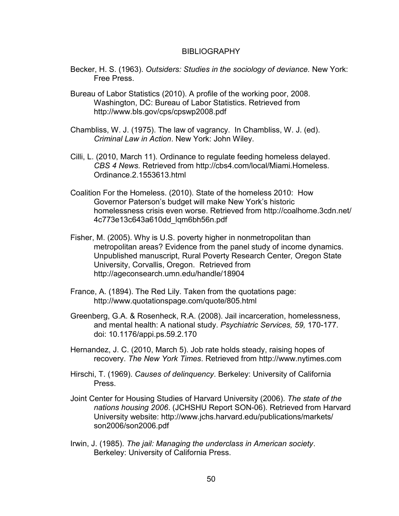#### BIBLIOGRAPHY

- Becker, H. S. (1963). *Outsiders: Studies in the sociology of deviance.* New York: Free Press.
- Bureau of Labor Statistics (2010). A profile of the working poor, 2008. Washington, DC: Bureau of Labor Statistics. Retrieved from http://www.bls.gov/cps/cpswp2008.pdf
- Chambliss, W. J. (1975). The law of vagrancy. In Chambliss, W. J. (ed). *Criminal Law in Action*. New York: John Wiley.
- Cilli, L. (2010, March 11). Ordinance to regulate feeding homeless delayed. *CBS 4 News.* Retrieved from http://cbs4.com/local/Miami.Homeless. Ordinance.2.1553613.html
- Coalition For the Homeless. (2010). State of the homeless 2010: How Governor Paterson"s budget will make New York"s historic homelessness crisis even worse. Retrieved from http://coalhome.3cdn.net/ 4c773e13c643a610dd\_lqm6bh56n.pdf
- Fisher, M. (2005). Why is U.S. poverty higher in nonmetropolitan than metropolitan areas? Evidence from the panel study of income dynamics. Unpublished manuscript, Rural Poverty Research Center*,* Oregon State University, Corvallis, Oregon. Retrieved from http://ageconsearch.umn.edu/handle/18904
- France, A. (1894). The Red Lily. Taken from the quotations page: http://www.quotationspage.com/quote/805.html
- Greenberg, G.A. & Rosenheck, R.A. (2008). Jail incarceration, homelessness, and mental health: A national study. *Psychiatric Services, 59,* 170-177*.*  doi: 10.1176/appi.ps.59.2.170
- Hernandez, J. C. (2010, March 5). Job rate holds steady, raising hopes of recovery. *The New York Times*. Retrieved from http://www.nytimes.com
- Hirschi, T. (1969). *Causes of delinquency*. Berkeley: University of California Press.
- Joint Center for Housing Studies of Harvard University (2006). *The state of the nations housing 2006*. (JCHSHU Report SON-06). Retrieved from Harvard University website: http://www.jchs.harvard.edu/publications/markets/ son2006/son2006.pdf
- Irwin, J. (1985). *The jail: Managing the underclass in American society*. Berkeley: University of California Press.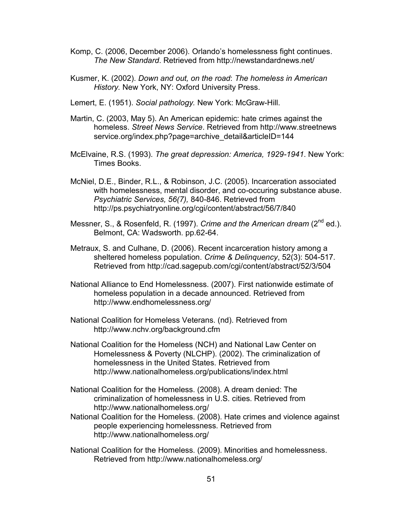- Komp, C. (2006, December 2006). Orlando"s homelessness fight continues. *The New Standard*. Retrieved from http://newstandardnews.net/
- Kusmer, K. (2002). *Down and out, on the road*: *The homeless in American History.* New York, NY: Oxford University Press.
- Lemert, E. (1951). *Social pathology.* New York: McGraw-Hill.
- Martin, C. (2003, May 5). An American epidemic: hate crimes against the homeless. *Street News Service*. Retrieved from http://www.streetnews service.org/index.php?page=archive\_detail&articleID=144
- McElvaine, R.S. (1993). *The great depression: America, 1929-1941*. New York: Times Books.
- McNiel, D.E., Binder, R.L., & Robinson, J.C. (2005). Incarceration associated with homelessness, mental disorder, and co-occuring substance abuse. *Psychiatric Services, 56(7),* 840-846. Retrieved from http://ps.psychiatryonline.org/cgi/content/abstract/56/7/840
- Messner, S., & Rosenfeld, R. (1997). *Crime and the American dream* (2nd ed.). Belmont, CA: Wadsworth. pp.62-64.
- Metraux, S. and Culhane, D. (2006). Recent incarceration history among a sheltered homeless population. *Crime & Delinquency*, 52(3): 504-517*.* Retrieved from http://cad.sagepub.com/cgi/content/abstract/52/3/504
- National Alliance to End Homelessness. (2007). First nationwide estimate of homeless population in a decade announced. Retrieved from http://www.endhomelessness.org/
- National Coalition for Homeless Veterans. (nd). Retrieved from http://www.nchv.org/background.cfm
- National Coalition for the Homeless (NCH) and National Law Center on Homelessness & Poverty (NLCHP). (2002). The criminalization of homelessness in the United States. Retrieved from http://www.nationalhomeless.org/publications/index.html
- National Coalition for the Homeless. (2008). A dream denied: The criminalization of homelessness in U.S. cities. Retrieved from http://www.nationalhomeless.org/
- National Coalition for the Homeless. (2008). Hate crimes and violence against people experiencing homelessness. Retrieved from http://www.nationalhomeless.org/
- National Coalition for the Homeless. (2009). Minorities and homelessness. Retrieved from http://www.nationalhomeless.org/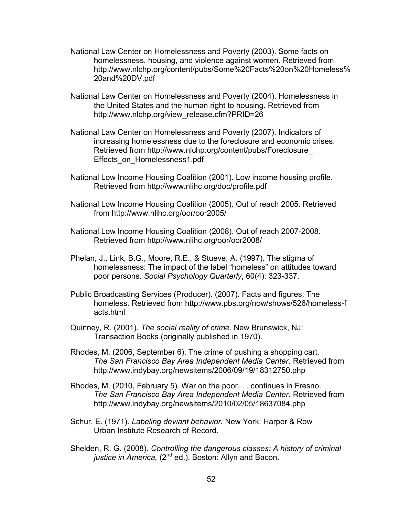- National Law Center on Homelessness and Poverty (2003). Some facts on homelessness, housing, and violence against women. Retrieved from http://www.nlchp.org/content/pubs/Some%20Facts%20on%20Homeless% 20and%20DV.pdf
- National Law Center on Homelessness and Poverty (2004). Homelessness in the United States and the human right to housing. Retrieved from http://www.nlchp.org/view\_release.cfm?PRID=26
- National Law Center on Homelessness and Poverty (2007). Indicators of increasing homelessness due to the foreclosure and economic crises. Retrieved from http://www.nlchp.org/content/pubs/Foreclosure\_ Effects\_on\_Homelessness1.pdf
- National Low Income Housing Coalition (2001). Low income housing profile. Retrieved from http://www.nlihc.org/doc/profile.pdf
- National Low Income Housing Coalition (2005). Out of reach 2005. Retrieved from http://www.nlihc.org/oor/oor2005/
- National Low Income Housing Coalition (2008). Out of reach 2007-2008. Retrieved from http://www.nlihc.org/oor/oor2008/
- Phelan, J., Link, B.G., Moore, R.E., & Stueve, A. (1997). The stigma of homelessness: The impact of the label "homeless" on attitudes toward poor persons. *Social Psychology Quarterly*, 60(4): 323-337.
- Public Broadcasting Services (Producer). (2007). Facts and figures: The homeless. Retrieved from http://www.pbs.org/now/shows/526/homeless-f acts.html
- Quinney, R. (2001). *The social reality of crime.* New Brunswick, NJ: Transaction Books (originally published in 1970).
- Rhodes, M. (2006, September 6). The crime of pushing a shopping cart. *The San Francisco Bay Area Independent Media Center.* Retrieved from http://www.indybay.org/newsitems/2006/09/19/18312750.php
- Rhodes, M. (2010, February 5). War on the poor. . . continues in Fresno. *The San Francisco Bay Area Independent Media Center.* Retrieved from http://www.indybay.org/newsitems/2010/02/05/18637084.php
- Schur, E. (1971). *Labeling deviant behavior.* New York: Harper & Row Urban Institute Research of Record.
- Shelden, R. G. (2008). *Controlling the dangerous classes: A history of criminal*  justice in America, (2<sup>nd</sup> ed.). Boston: Allyn and Bacon.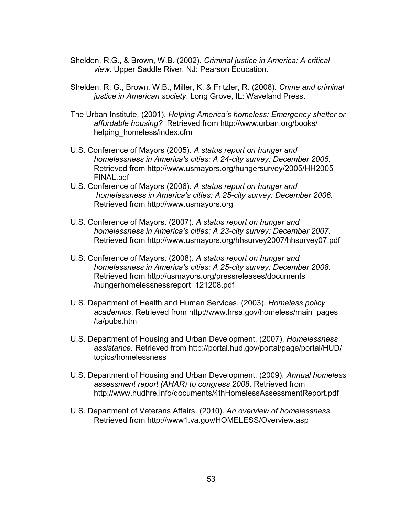- Shelden, R.G., & Brown, W.B. (2002). *Criminal justice in America: A critical view.* Upper Saddle River, NJ: Pearson Education.
- Shelden, R. G., Brown, W.B., Miller, K. & Fritzler, R. (2008). *Crime and criminal justice in American society*. Long Grove, IL: Waveland Press.
- The Urban Institute. (2001). *Helping America's homeless: Emergency shelter or affordable housing?* Retrieved from http://www.urban.org/books/ helping homeless/index.cfm
- U.S. Conference of Mayors (2005). *A status report on hunger and homelessness in America's cities: A 24-city survey: December 2005.* Retrieved from http://www.usmayors.org/hungersurvey/2005/HH2005 FINAL.pdf
- U.S. Conference of Mayors (2006). *A status report on hunger and homelessness in America's cities: A 25-city survey: December 2006.* Retrieved from http://www.usmayors.org
- U.S. Conference of Mayors. (2007). *A status report on hunger and homelessness in America's cities: A 23-city survey: December 2007.* Retrieved from http://www.usmayors.org/hhsurvey2007/hhsurvey07.pdf
- U.S. Conference of Mayors. (2008). *A status report on hunger and homelessness in America's cities: A 25-city survey: December 2008.* Retrieved from http://usmayors.org/pressreleases/documents /hungerhomelessnessreport\_121208.pdf
- U.S. Department of Health and Human Services. (2003). *Homeless policy academics*. Retrieved from http://www.hrsa.gov/homeless/main\_pages /ta/pubs.htm
- U.S. Department of Housing and Urban Development. (2007). *Homelessness assistance.* Retrieved from http://portal.hud.gov/portal/page/portal/HUD/ topics/homelessness
- U.S. Department of Housing and Urban Development. (2009). *Annual homeless assessment report (AHAR) to congress 2008*. Retrieved from http://www.hudhre.info/documents/4thHomelessAssessmentReport.pdf
- U.S. Department of Veterans Affairs. (2010). *An overview of homelessness*. Retrieved from http://www1.va.gov/HOMELESS/Overview.asp